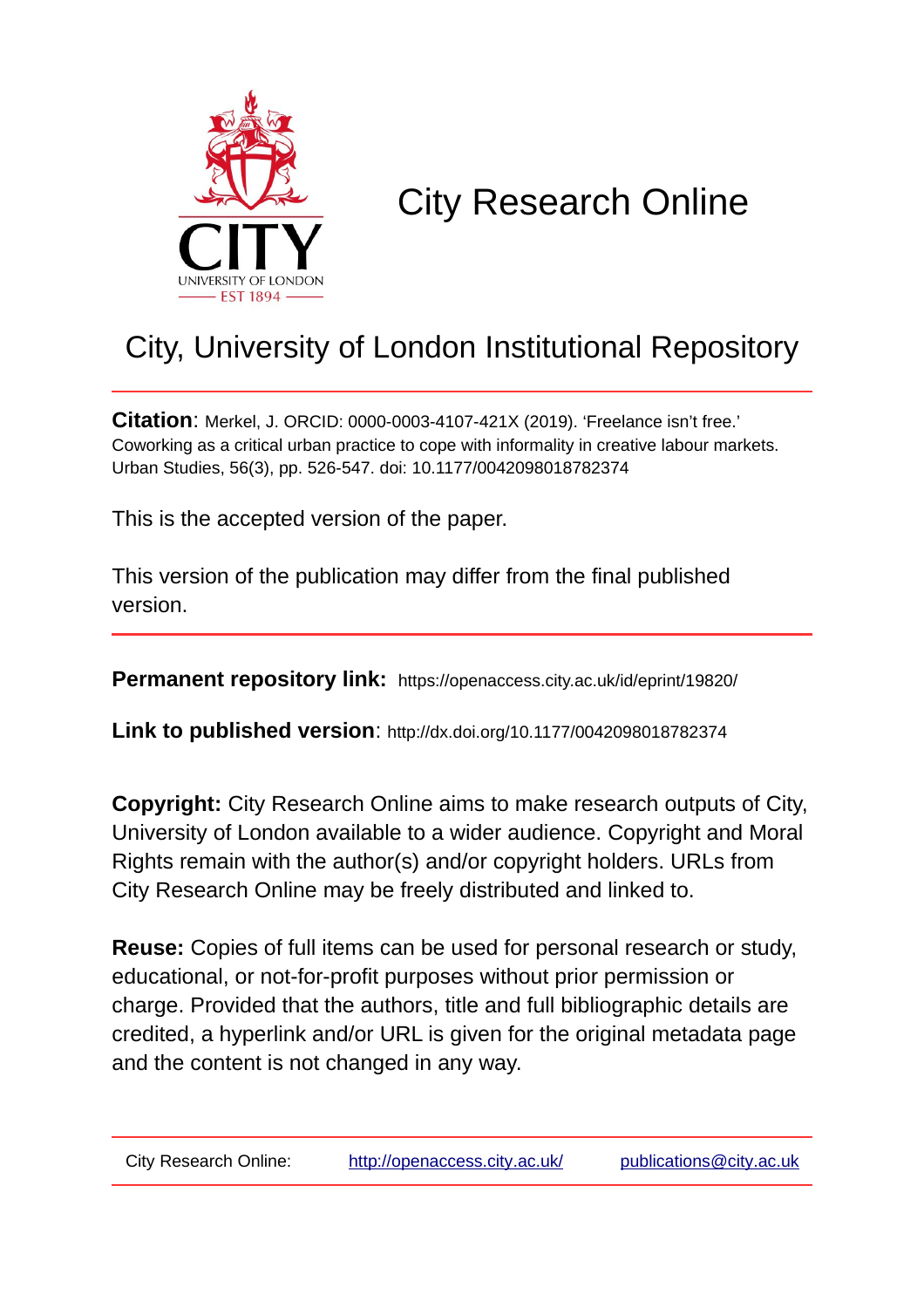

# City Research Online

## City, University of London Institutional Repository

**Citation**: Merkel, J. ORCID: 0000-0003-4107-421X (2019). 'Freelance isn't free.' Coworking as a critical urban practice to cope with informality in creative labour markets. Urban Studies, 56(3), pp. 526-547. doi: 10.1177/0042098018782374

This is the accepted version of the paper.

This version of the publication may differ from the final published version.

**Permanent repository link:** https://openaccess.city.ac.uk/id/eprint/19820/

**Link to published version**: http://dx.doi.org/10.1177/0042098018782374

**Copyright:** City Research Online aims to make research outputs of City, University of London available to a wider audience. Copyright and Moral Rights remain with the author(s) and/or copyright holders. URLs from City Research Online may be freely distributed and linked to.

**Reuse:** Copies of full items can be used for personal research or study, educational, or not-for-profit purposes without prior permission or charge. Provided that the authors, title and full bibliographic details are credited, a hyperlink and/or URL is given for the original metadata page and the content is not changed in any way.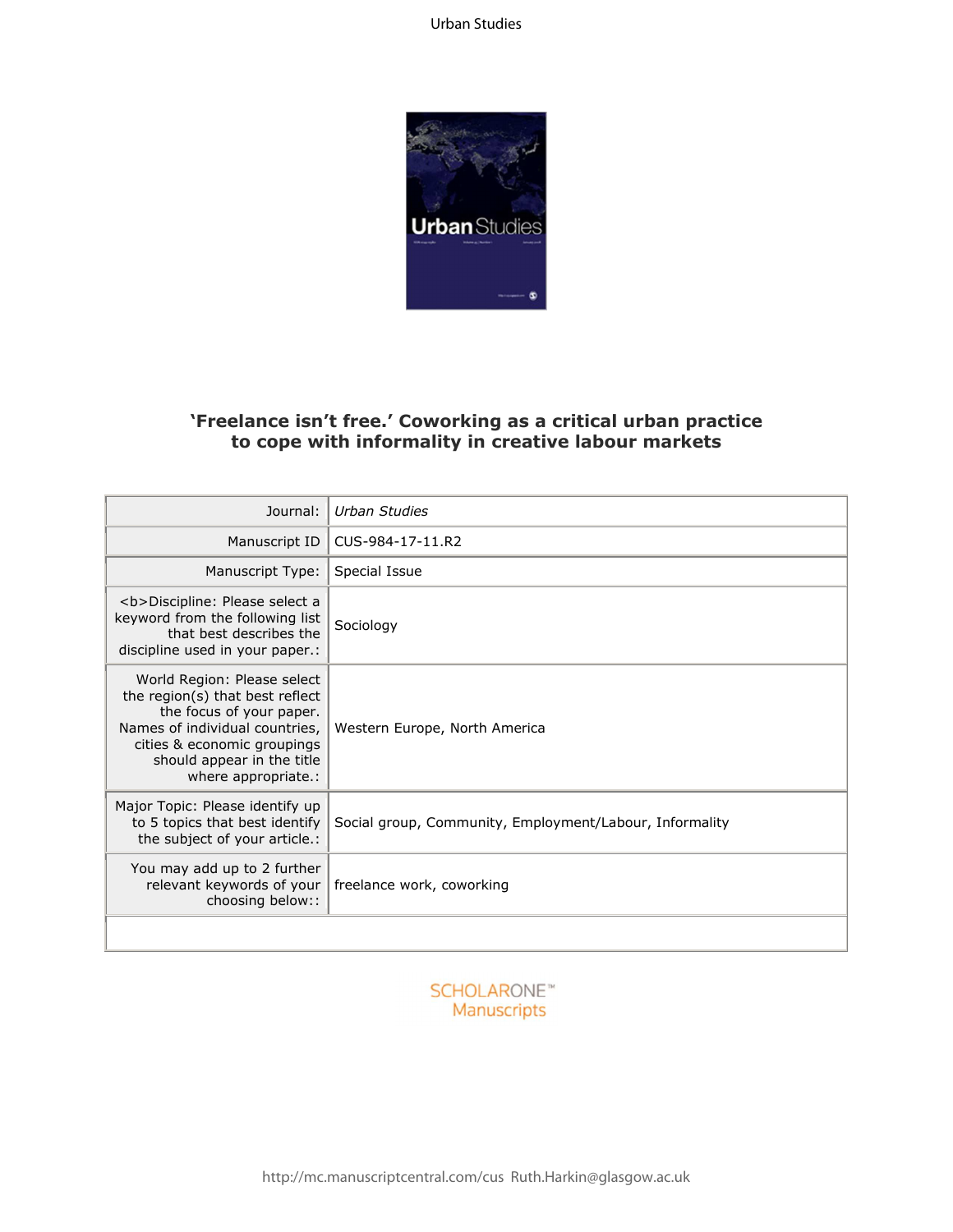

## **'Freelance isn't free.' Coworking as a critical urban practice to cope with informality in creative labour markets**

| Journal:                                                                                                                                                                                                         | Urban Studies                                           |
|------------------------------------------------------------------------------------------------------------------------------------------------------------------------------------------------------------------|---------------------------------------------------------|
| Manuscript ID                                                                                                                                                                                                    | CUS-984-17-11.R2                                        |
| Manuscript Type:                                                                                                                                                                                                 | Special Issue                                           |
| <b>Discipline: Please select a<br/>keyword from the following list<br/>that best describes the<br/>discipline used in your paper.:</b>                                                                           | Sociology                                               |
| World Region: Please select<br>the region(s) that best reflect<br>the focus of your paper.<br>Names of individual countries,<br>cities & economic groupings<br>should appear in the title<br>where appropriate.: | Western Europe, North America                           |
| Major Topic: Please identify up<br>to 5 topics that best identify<br>the subject of your article.:                                                                                                               | Social group, Community, Employment/Labour, Informality |
| You may add up to 2 further<br>relevant keywords of your<br>choosing below::                                                                                                                                     | freelance work, coworking                               |
|                                                                                                                                                                                                                  |                                                         |

**SCHOLARONE**™ Manuscripts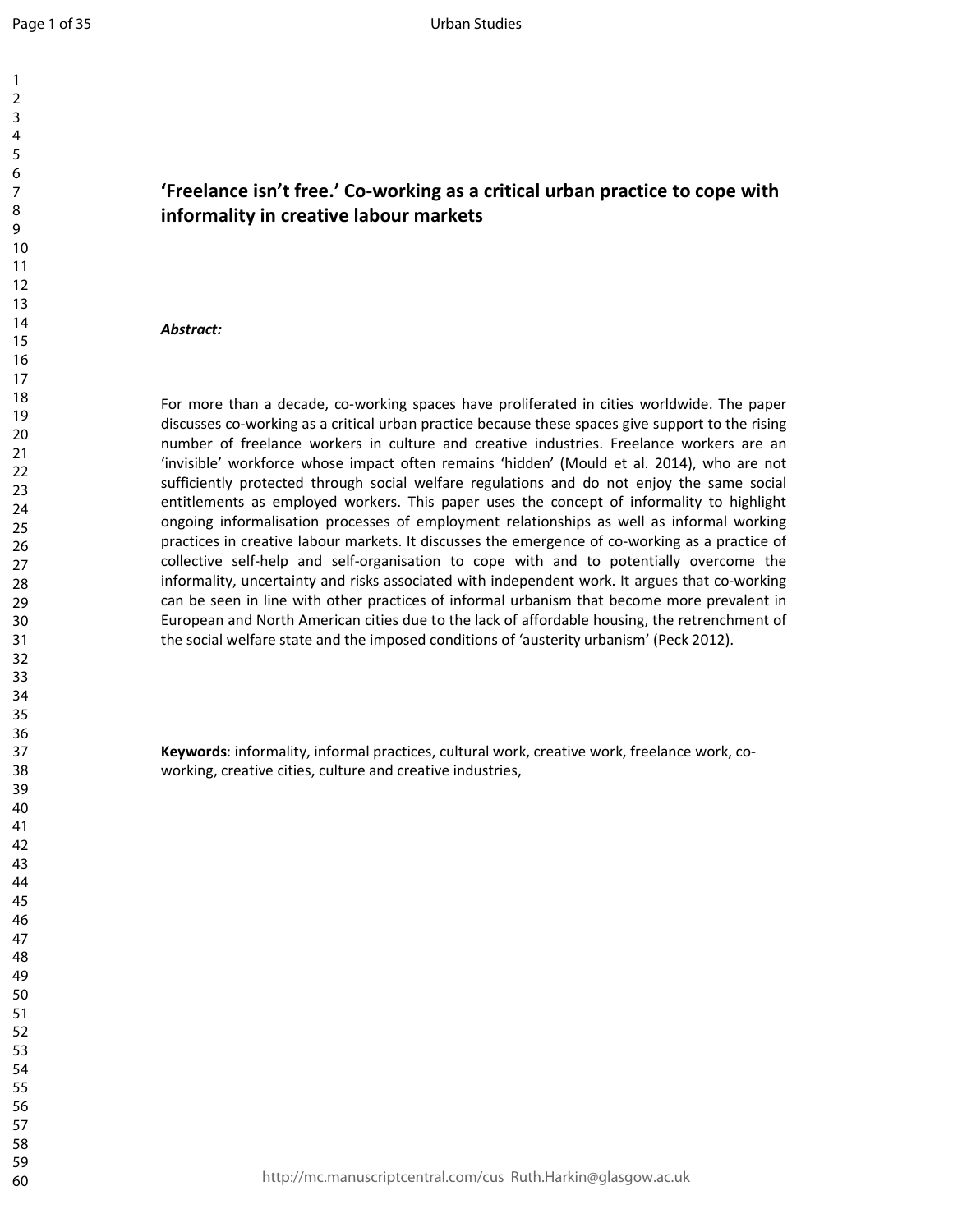## **'Freelance isn't free.' Co-working as a critical urban practice to cope with informality in creative labour markets**

#### *Abstract:*

For more than a decade, co-working spaces have proliferated in cities worldwide. The paper discusses co-working as a critical urban practice because these spaces give support to the rising number of freelance workers in culture and creative industries. Freelance workers are an 'invisible' workforce whose impact often remains 'hidden' (Mould et al. 2014), who are not sufficiently protected through social welfare regulations and do not enjoy the same social entitlements as employed workers. This paper uses the concept of informality to highlight ongoing informalisation processes of employment relationships as well as informal working practices in creative labour markets. It discusses the emergence of co-working as a practice of collective self-help and self-organisation to cope with and to potentially overcome the informality, uncertainty and risks associated with independent work. It argues that co-working can be seen in line with other practices of informal urbanism that become more prevalent in European and North American cities due to the lack of affordable housing, the retrenchment of the social welfare state and the imposed conditions of 'austerity urbanism' (Peck 2012).

**Keywords**: informality, informal practices, cultural work, creative work, freelance work, coworking, creative cities, culture and creative industries,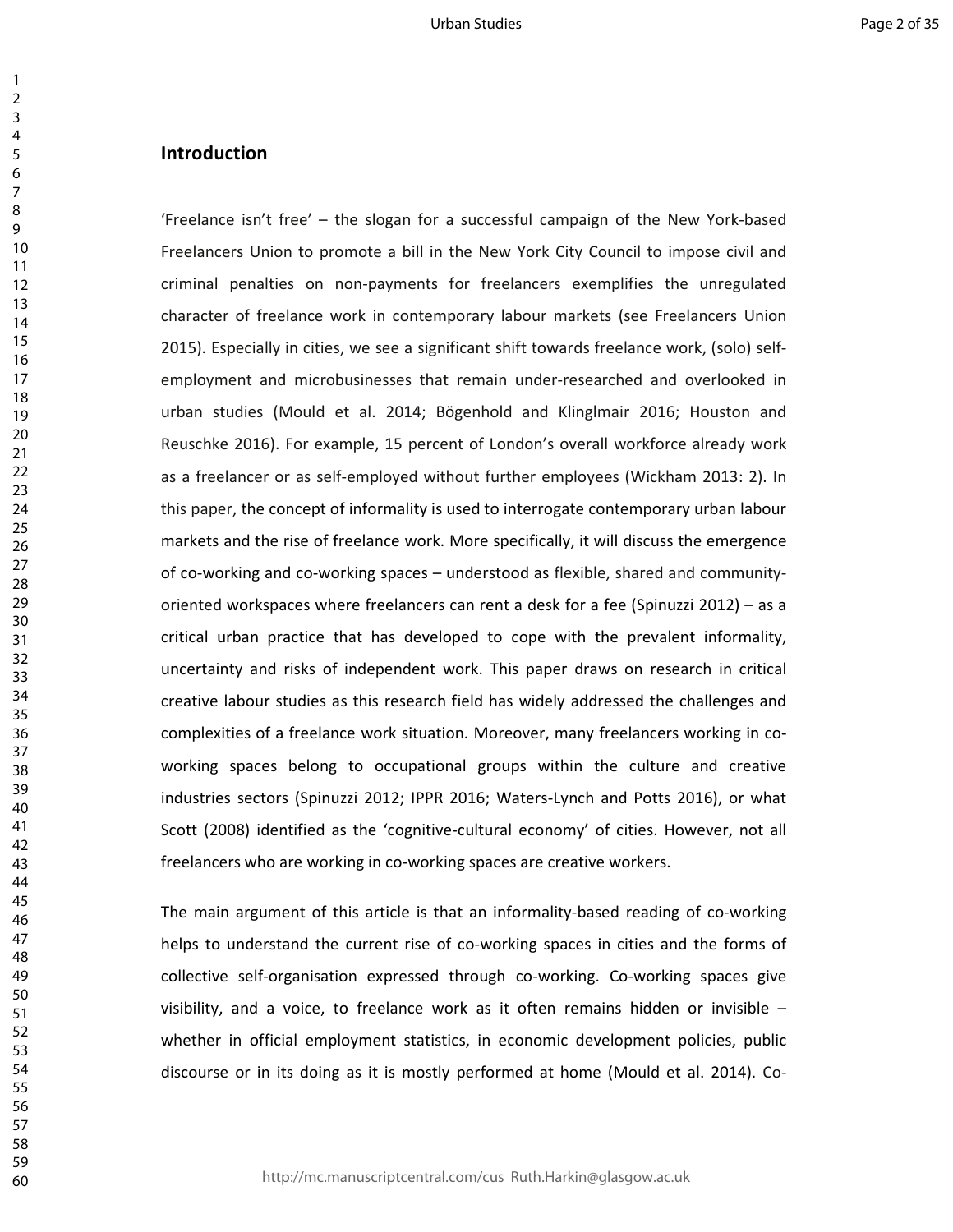## **Introduction**

'Freelance isn't free' – the slogan for a successful campaign of the New York-based Freelancers Union to promote a bill in the New York City Council to impose civil and criminal penalties on non-payments for freelancers exemplifies the unregulated character of freelance work in contemporary labour markets (see Freelancers Union 2015). Especially in cities, we see a significant shift towards freelance work, (solo) selfemployment and microbusinesses that remain under-researched and overlooked in urban studies (Mould et al. 2014; Bögenhold and Klinglmair 2016; Houston and Reuschke 2016). For example, 15 percent of London's overall workforce already work as a freelancer or as self-employed without further employees (Wickham 2013: 2). In this paper, the concept of informality is used to interrogate contemporary urban labour markets and the rise of freelance work. More specifically, it will discuss the emergence of co-working and co-working spaces – understood as flexible, shared and communityoriented workspaces where freelancers can rent a desk for a fee (Spinuzzi 2012) – as a critical urban practice that has developed to cope with the prevalent informality, uncertainty and risks of independent work. This paper draws on research in critical creative labour studies as this research field has widely addressed the challenges and complexities of a freelance work situation. Moreover, many freelancers working in coworking spaces belong to occupational groups within the culture and creative industries sectors (Spinuzzi 2012; IPPR 2016; Waters-Lynch and Potts 2016), or what Scott (2008) identified as the 'cognitive-cultural economy' of cities. However, not all freelancers who are working in co-working spaces are creative workers.

The main argument of this article is that an informality-based reading of co-working helps to understand the current rise of co-working spaces in cities and the forms of collective self-organisation expressed through co-working. Co-working spaces give visibility, and a voice, to freelance work as it often remains hidden or invisible – whether in official employment statistics, in economic development policies, public discourse or in its doing as it is mostly performed at home (Mould et al. 2014). Co-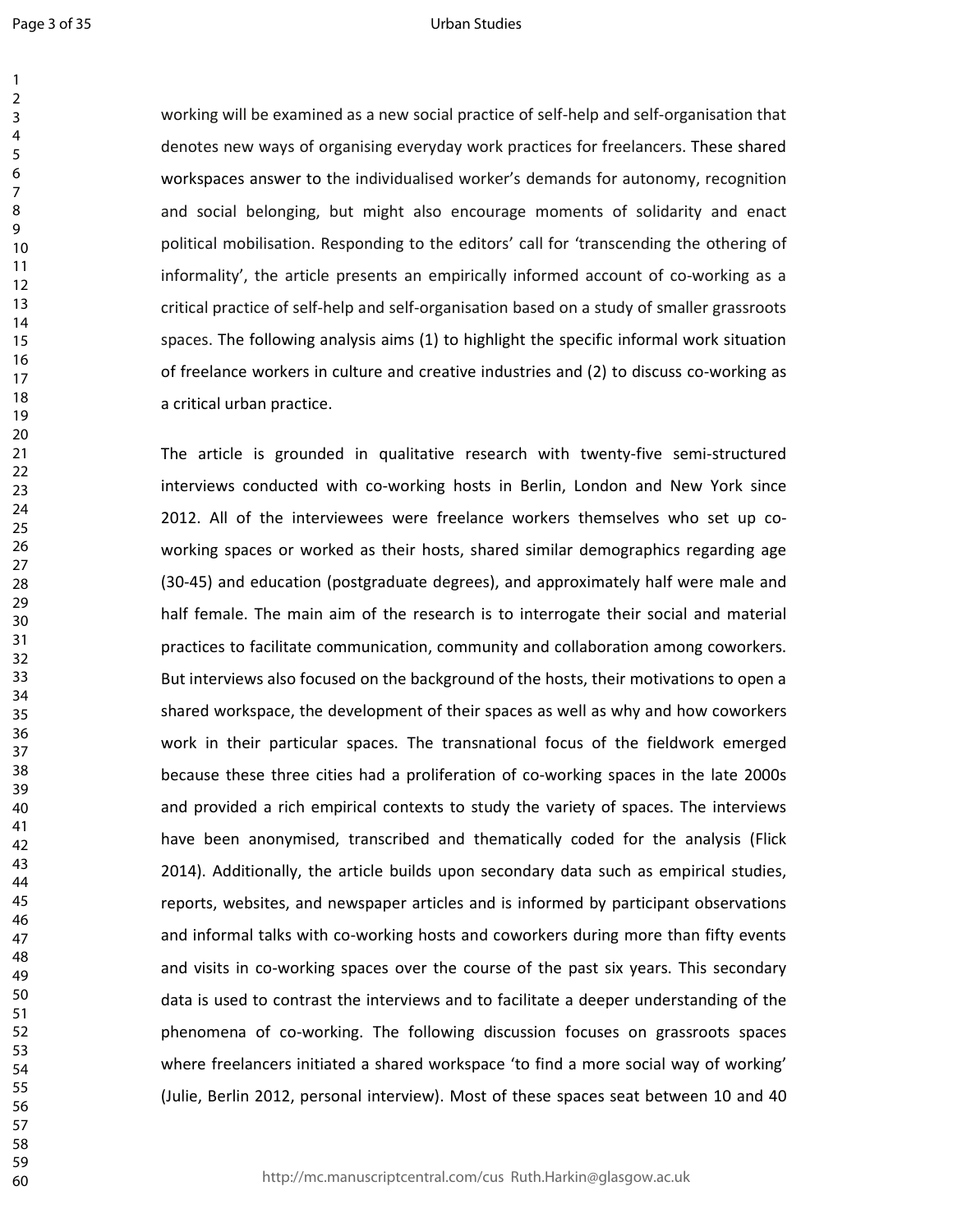#### Urban Studies

working will be examined as a new social practice of self-help and self-organisation that denotes new ways of organising everyday work practices for freelancers. These shared workspaces answer to the individualised worker's demands for autonomy, recognition and social belonging, but might also encourage moments of solidarity and enact political mobilisation. Responding to the editors' call for 'transcending the othering of informality', the article presents an empirically informed account of co-working as a critical practice of self-help and self-organisation based on a study of smaller grassroots spaces. The following analysis aims (1) to highlight the specific informal work situation of freelance workers in culture and creative industries and (2) to discuss co-working as a critical urban practice.

The article is grounded in qualitative research with twenty-five semi-structured interviews conducted with co-working hosts in Berlin, London and New York since 2012. All of the interviewees were freelance workers themselves who set up coworking spaces or worked as their hosts, shared similar demographics regarding age (30-45) and education (postgraduate degrees), and approximately half were male and half female. The main aim of the research is to interrogate their social and material practices to facilitate communication, community and collaboration among coworkers. But interviews also focused on the background of the hosts, their motivations to open a shared workspace, the development of their spaces as well as why and how coworkers work in their particular spaces. The transnational focus of the fieldwork emerged because these three cities had a proliferation of co-working spaces in the late 2000s and provided a rich empirical contexts to study the variety of spaces. The interviews have been anonymised, transcribed and thematically coded for the analysis (Flick 2014). Additionally, the article builds upon secondary data such as empirical studies, reports, websites, and newspaper articles and is informed by participant observations and informal talks with co-working hosts and coworkers during more than fifty events and visits in co-working spaces over the course of the past six years. This secondary data is used to contrast the interviews and to facilitate a deeper understanding of the phenomena of co-working. The following discussion focuses on grassroots spaces where freelancers initiated a shared workspace 'to find a more social way of working' (Julie, Berlin 2012, personal interview). Most of these spaces seat between 10 and 40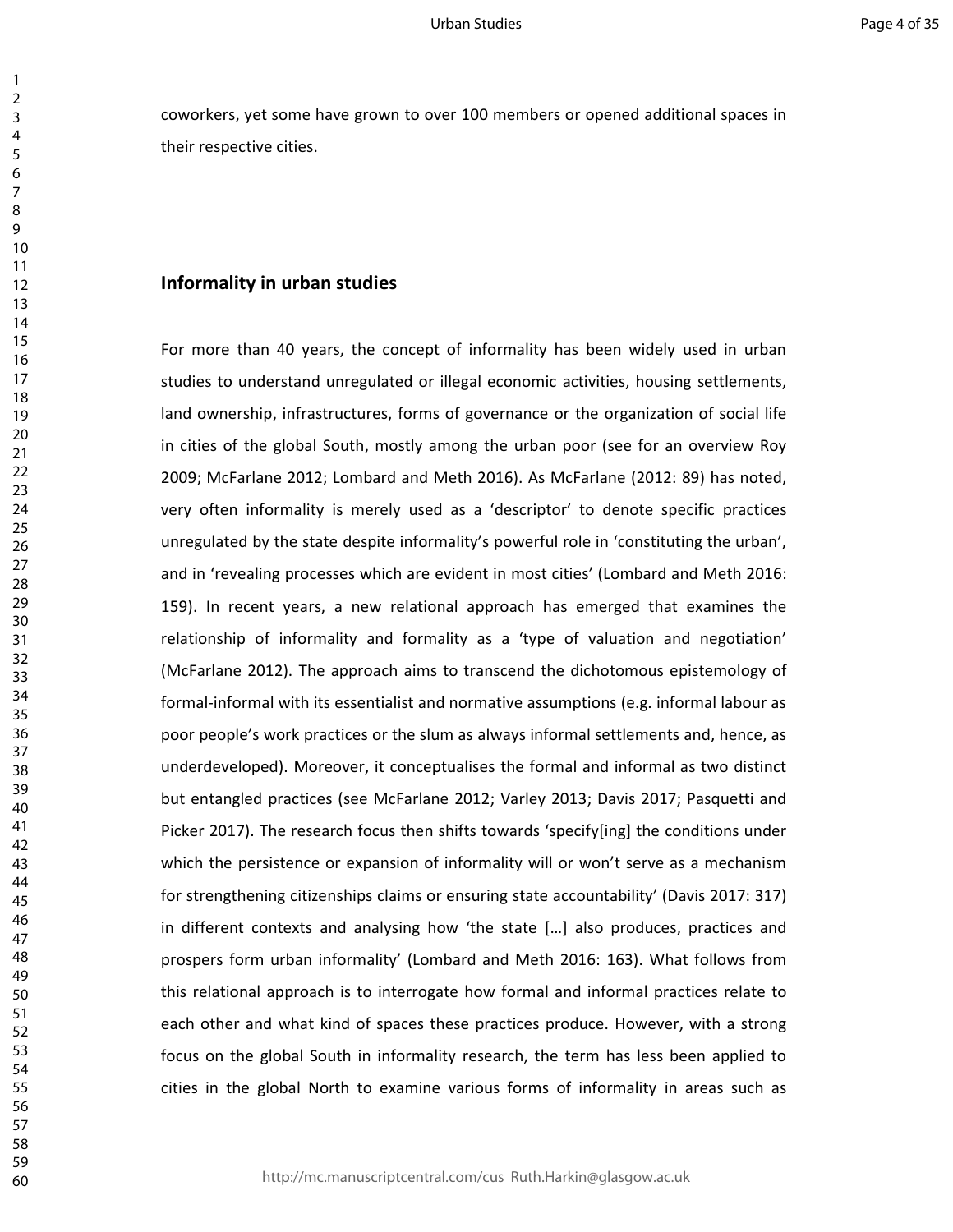coworkers, yet some have grown to over 100 members or opened additional spaces in their respective cities.

#### **Informality in urban studies**

For more than 40 years, the concept of informality has been widely used in urban studies to understand unregulated or illegal economic activities, housing settlements, land ownership, infrastructures, forms of governance or the organization of social life in cities of the global South, mostly among the urban poor (see for an overview Roy 2009; McFarlane 2012; Lombard and Meth 2016). As McFarlane (2012: 89) has noted, very often informality is merely used as a 'descriptor' to denote specific practices unregulated by the state despite informality's powerful role in 'constituting the urban', and in 'revealing processes which are evident in most cities' (Lombard and Meth 2016: 159). In recent years, a new relational approach has emerged that examines the relationship of informality and formality as a 'type of valuation and negotiation' (McFarlane 2012). The approach aims to transcend the dichotomous epistemology of formal-informal with its essentialist and normative assumptions (e.g. informal labour as poor people's work practices or the slum as always informal settlements and, hence, as underdeveloped). Moreover, it conceptualises the formal and informal as two distinct but entangled practices (see McFarlane 2012; Varley 2013; Davis 2017; Pasquetti and Picker 2017). The research focus then shifts towards 'specify[ing] the conditions under which the persistence or expansion of informality will or won't serve as a mechanism for strengthening citizenships claims or ensuring state accountability' (Davis 2017: 317) in different contexts and analysing how 'the state […] also produces, practices and prospers form urban informality' (Lombard and Meth 2016: 163). What follows from this relational approach is to interrogate how formal and informal practices relate to each other and what kind of spaces these practices produce. However, with a strong focus on the global South in informality research, the term has less been applied to cities in the global North to examine various forms of informality in areas such as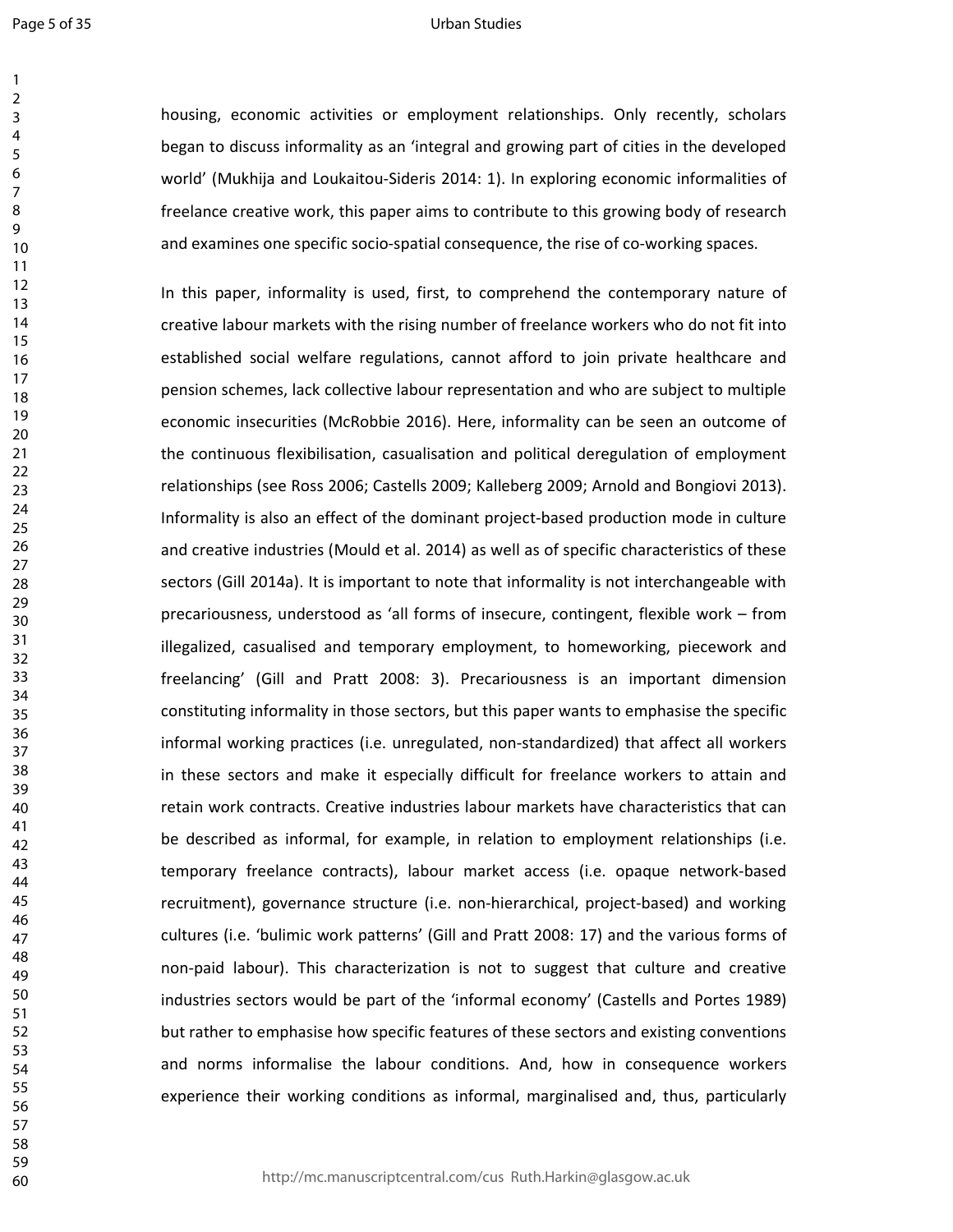#### Urban Studies

housing, economic activities or employment relationships. Only recently, scholars began to discuss informality as an 'integral and growing part of cities in the developed world' (Mukhija and Loukaitou-Sideris 2014: 1). In exploring economic informalities of freelance creative work, this paper aims to contribute to this growing body of research and examines one specific socio-spatial consequence, the rise of co-working spaces.

In this paper, informality is used, first, to comprehend the contemporary nature of creative labour markets with the rising number of freelance workers who do not fit into established social welfare regulations, cannot afford to join private healthcare and pension schemes, lack collective labour representation and who are subject to multiple economic insecurities (McRobbie 2016). Here, informality can be seen an outcome of the continuous flexibilisation, casualisation and political deregulation of employment relationships (see Ross 2006; Castells 2009; Kalleberg 2009; Arnold and Bongiovi 2013). Informality is also an effect of the dominant project-based production mode in culture and creative industries (Mould et al. 2014) as well as of specific characteristics of these sectors (Gill 2014a). It is important to note that informality is not interchangeable with precariousness, understood as 'all forms of insecure, contingent, flexible work – from illegalized, casualised and temporary employment, to homeworking, piecework and freelancing' (Gill and Pratt 2008: 3). Precariousness is an important dimension constituting informality in those sectors, but this paper wants to emphasise the specific informal working practices (i.e. unregulated, non-standardized) that affect all workers in these sectors and make it especially difficult for freelance workers to attain and retain work contracts. Creative industries labour markets have characteristics that can be described as informal, for example, in relation to employment relationships (i.e. temporary freelance contracts), labour market access (i.e. opaque network-based recruitment), governance structure (i.e. non-hierarchical, project-based) and working cultures (i.e. 'bulimic work patterns' (Gill and Pratt 2008: 17) and the various forms of non-paid labour). This characterization is not to suggest that culture and creative industries sectors would be part of the 'informal economy' (Castells and Portes 1989) but rather to emphasise how specific features of these sectors and existing conventions and norms informalise the labour conditions. And, how in consequence workers experience their working conditions as informal, marginalised and, thus, particularly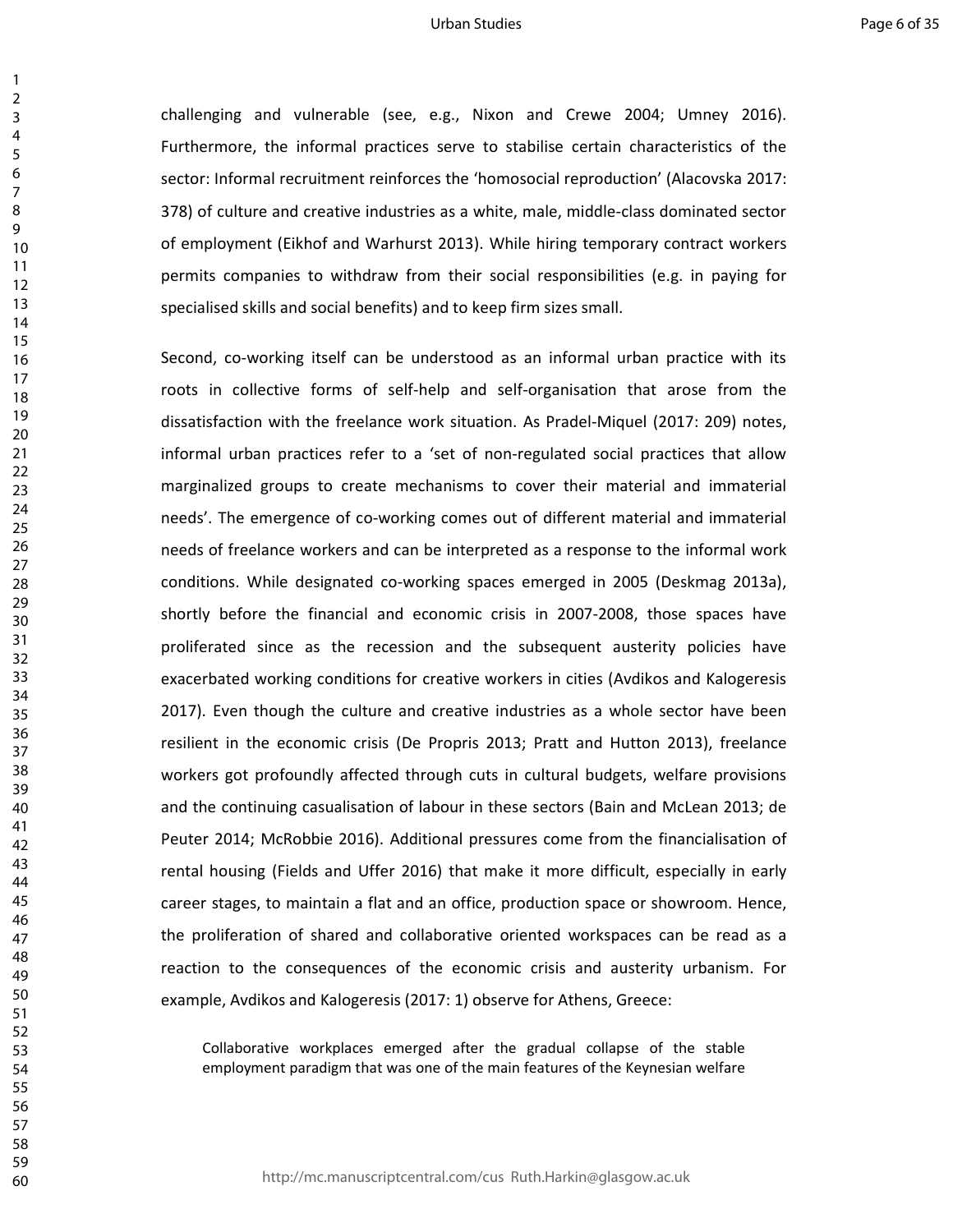challenging and vulnerable (see, e.g., Nixon and Crewe 2004; Umney 2016). Furthermore, the informal practices serve to stabilise certain characteristics of the sector: Informal recruitment reinforces the 'homosocial reproduction' (Alacovska 2017: 378) of culture and creative industries as a white, male, middle-class dominated sector of employment (Eikhof and Warhurst 2013). While hiring temporary contract workers permits companies to withdraw from their social responsibilities (e.g. in paying for specialised skills and social benefits) and to keep firm sizes small.

Second, co-working itself can be understood as an informal urban practice with its roots in collective forms of self-help and self-organisation that arose from the dissatisfaction with the freelance work situation. As Pradel-Miquel (2017: 209) notes, informal urban practices refer to a 'set of non-regulated social practices that allow marginalized groups to create mechanisms to cover their material and immaterial needs'. The emergence of co-working comes out of different material and immaterial needs of freelance workers and can be interpreted as a response to the informal work conditions. While designated co-working spaces emerged in 2005 (Deskmag 2013a), shortly before the financial and economic crisis in 2007-2008, those spaces have proliferated since as the recession and the subsequent austerity policies have exacerbated working conditions for creative workers in cities (Avdikos and Kalogeresis 2017). Even though the culture and creative industries as a whole sector have been resilient in the economic crisis (De Propris 2013; Pratt and Hutton 2013), freelance workers got profoundly affected through cuts in cultural budgets, welfare provisions and the continuing casualisation of labour in these sectors (Bain and McLean 2013; de Peuter 2014; McRobbie 2016). Additional pressures come from the financialisation of rental housing (Fields and Uffer 2016) that make it more difficult, especially in early career stages, to maintain a flat and an office, production space or showroom. Hence, the proliferation of shared and collaborative oriented workspaces can be read as a reaction to the consequences of the economic crisis and austerity urbanism. For example, Avdikos and Kalogeresis (2017: 1) observe for Athens, Greece:

Collaborative workplaces emerged after the gradual collapse of the stable employment paradigm that was one of the main features of the Keynesian welfare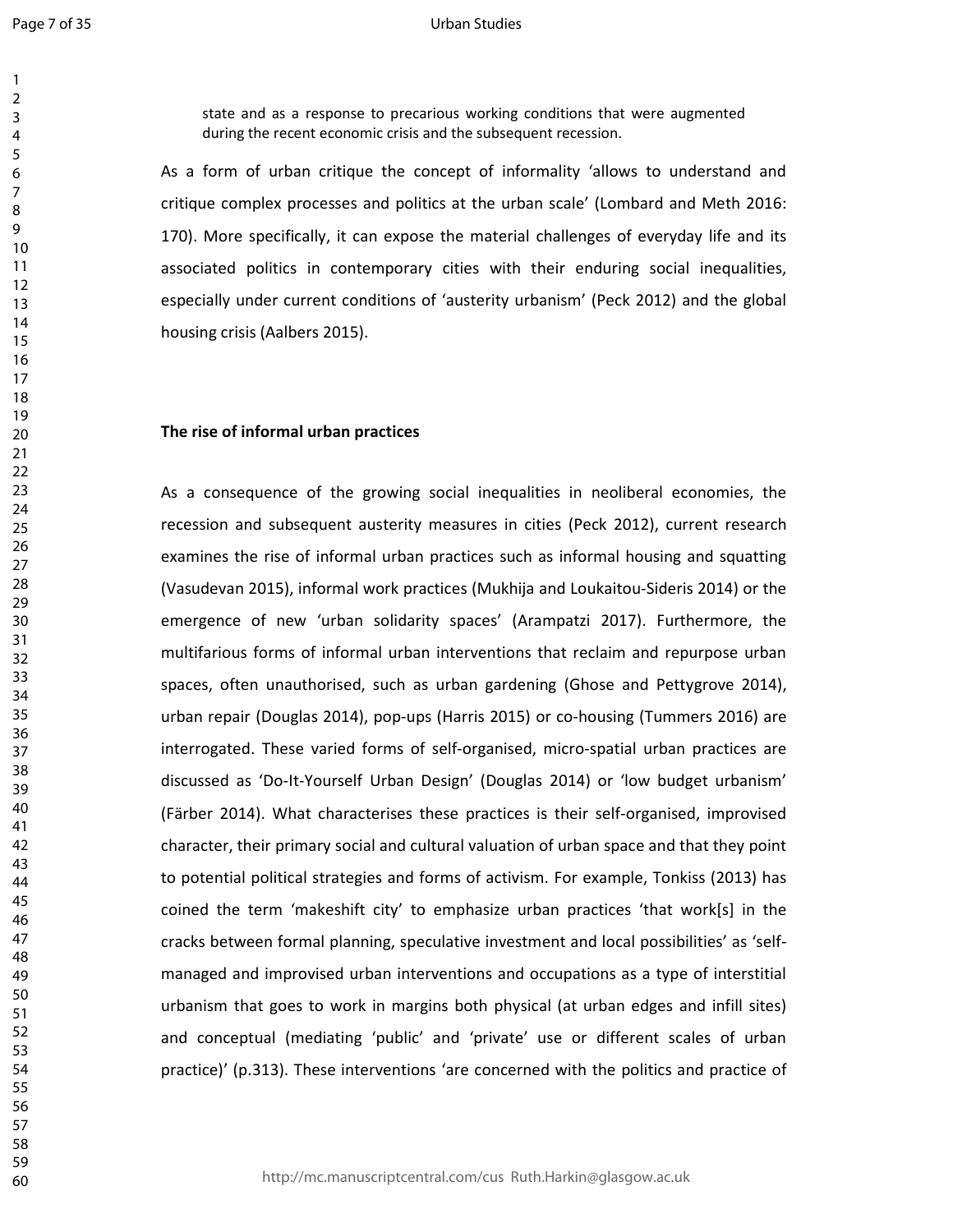#### Urban Studies

state and as a response to precarious working conditions that were augmented during the recent economic crisis and the subsequent recession.

As a form of urban critique the concept of informality 'allows to understand and critique complex processes and politics at the urban scale' (Lombard and Meth 2016: 170). More specifically, it can expose the material challenges of everyday life and its associated politics in contemporary cities with their enduring social inequalities, especially under current conditions of 'austerity urbanism' (Peck 2012) and the global housing crisis (Aalbers 2015).

#### **The rise of informal urban practices**

As a consequence of the growing social inequalities in neoliberal economies, the recession and subsequent austerity measures in cities (Peck 2012), current research examines the rise of informal urban practices such as informal housing and squatting (Vasudevan 2015), informal work practices (Mukhija and Loukaitou-Sideris 2014) or the emergence of new 'urban solidarity spaces' (Arampatzi 2017). Furthermore, the multifarious forms of informal urban interventions that reclaim and repurpose urban spaces, often unauthorised, such as urban gardening (Ghose and Pettygrove 2014), urban repair (Douglas 2014), pop-ups (Harris 2015) or co-housing (Tummers 2016) are interrogated. These varied forms of self-organised, micro-spatial urban practices are discussed as 'Do-It-Yourself Urban Design' (Douglas 2014) or 'low budget urbanism' (Färber 2014). What characterises these practices is their self-organised, improvised character, their primary social and cultural valuation of urban space and that they point to potential political strategies and forms of activism. For example, Tonkiss (2013) has coined the term 'makeshift city' to emphasize urban practices 'that work[s] in the cracks between formal planning, speculative investment and local possibilities' as 'selfmanaged and improvised urban interventions and occupations as a type of interstitial urbanism that goes to work in margins both physical (at urban edges and infill sites) and conceptual (mediating 'public' and 'private' use or different scales of urban practice)' (p.313). These interventions 'are concerned with the politics and practice of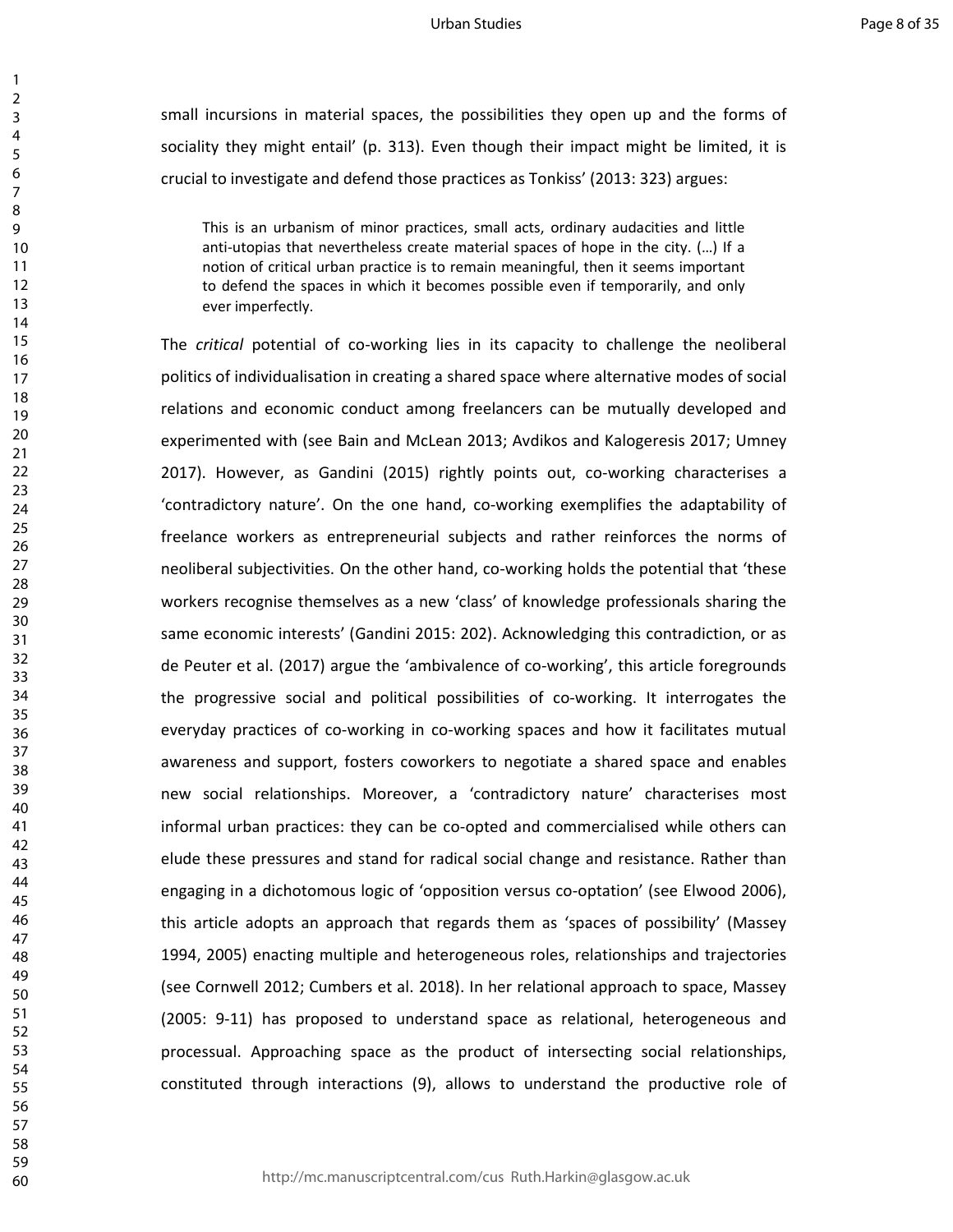small incursions in material spaces, the possibilities they open up and the forms of sociality they might entail' (p. 313). Even though their impact might be limited, it is crucial to investigate and defend those practices as Tonkiss' (2013: 323) argues:

This is an urbanism of minor practices, small acts, ordinary audacities and little anti-utopias that nevertheless create material spaces of hope in the city. (…) If a notion of critical urban practice is to remain meaningful, then it seems important to defend the spaces in which it becomes possible even if temporarily, and only ever imperfectly.

The *critical* potential of co-working lies in its capacity to challenge the neoliberal politics of individualisation in creating a shared space where alternative modes of social relations and economic conduct among freelancers can be mutually developed and experimented with (see Bain and McLean 2013; Avdikos and Kalogeresis 2017; Umney 2017). However, as Gandini (2015) rightly points out, co-working characterises a 'contradictory nature'. On the one hand, co-working exemplifies the adaptability of freelance workers as entrepreneurial subjects and rather reinforces the norms of neoliberal subjectivities. On the other hand, co-working holds the potential that 'these workers recognise themselves as a new 'class' of knowledge professionals sharing the same economic interests' (Gandini 2015: 202). Acknowledging this contradiction, or as de Peuter et al. (2017) argue the 'ambivalence of co-working', this article foregrounds the progressive social and political possibilities of co-working. It interrogates the everyday practices of co-working in co-working spaces and how it facilitates mutual awareness and support, fosters coworkers to negotiate a shared space and enables new social relationships. Moreover, a 'contradictory nature' characterises most informal urban practices: they can be co-opted and commercialised while others can elude these pressures and stand for radical social change and resistance. Rather than engaging in a dichotomous logic of 'opposition versus co-optation' (see Elwood 2006), this article adopts an approach that regards them as 'spaces of possibility' (Massey 1994, 2005) enacting multiple and heterogeneous roles, relationships and trajectories (see Cornwell 2012; Cumbers et al. 2018). In her relational approach to space, Massey (2005: 9-11) has proposed to understand space as relational, heterogeneous and processual. Approaching space as the product of intersecting social relationships, constituted through interactions (9), allows to understand the productive role of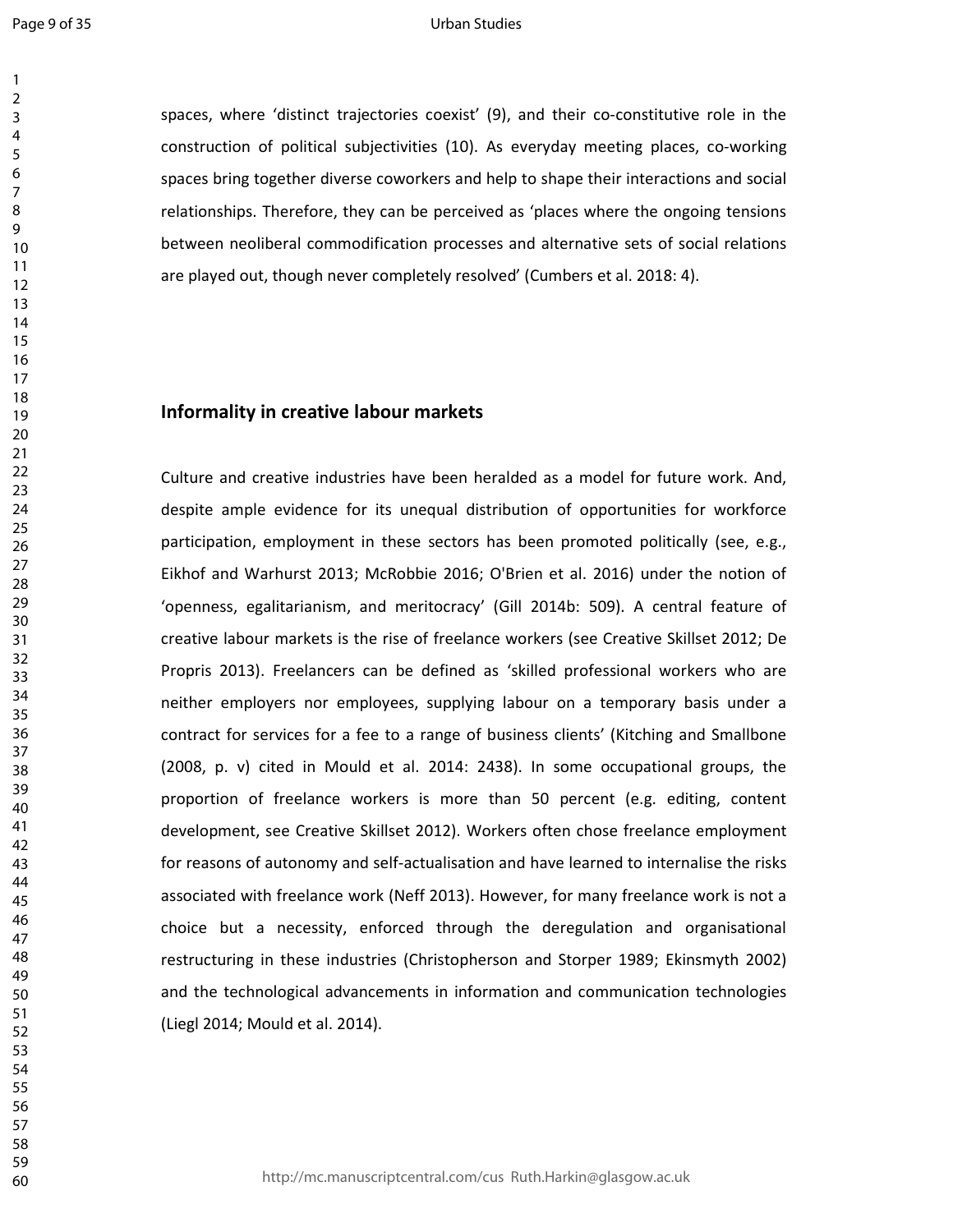#### Urban Studies

spaces, where 'distinct trajectories coexist' (9), and their co-constitutive role in the construction of political subjectivities (10). As everyday meeting places, co-working spaces bring together diverse coworkers and help to shape their interactions and social relationships. Therefore, they can be perceived as 'places where the ongoing tensions between neoliberal commodification processes and alternative sets of social relations are played out, though never completely resolved' (Cumbers et al. 2018: 4).

#### **Informality in creative labour markets**

Culture and creative industries have been heralded as a model for future work. And, despite ample evidence for its unequal distribution of opportunities for workforce participation, employment in these sectors has been promoted politically (see, e.g., Eikhof and Warhurst 2013; McRobbie 2016; O'Brien et al. 2016) under the notion of 'openness, egalitarianism, and meritocracy' (Gill 2014b: 509). A central feature of creative labour markets is the rise of freelance workers (see Creative Skillset 2012; De Propris 2013). Freelancers can be defined as 'skilled professional workers who are neither employers nor employees, supplying labour on a temporary basis under a contract for services for a fee to a range of business clients' (Kitching and Smallbone (2008, p. v) cited in Mould et al. 2014: 2438). In some occupational groups, the proportion of freelance workers is more than 50 percent (e.g. editing, content development, see Creative Skillset 2012). Workers often chose freelance employment for reasons of autonomy and self-actualisation and have learned to internalise the risks associated with freelance work (Neff 2013). However, for many freelance work is not a choice but a necessity, enforced through the deregulation and organisational restructuring in these industries (Christopherson and Storper 1989; Ekinsmyth 2002) and the technological advancements in information and communication technologies (Liegl 2014; Mould et al. 2014).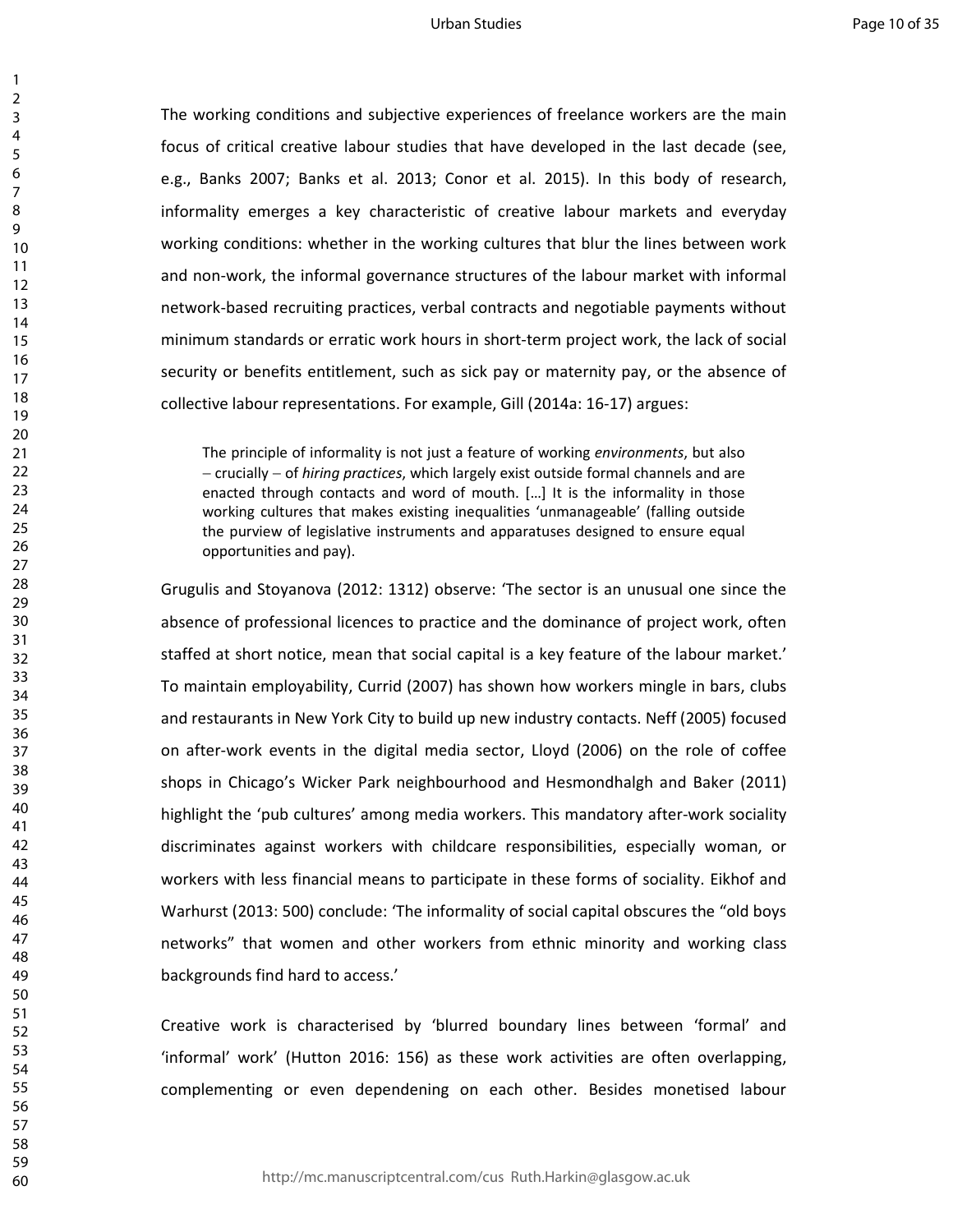The working conditions and subjective experiences of freelance workers are the main focus of critical creative labour studies that have developed in the last decade (see, e.g., Banks 2007; Banks et al. 2013; Conor et al. 2015). In this body of research, informality emerges a key characteristic of creative labour markets and everyday working conditions: whether in the working cultures that blur the lines between work and non-work, the informal governance structures of the labour market with informal network-based recruiting practices, verbal contracts and negotiable payments without minimum standards or erratic work hours in short-term project work, the lack of social security or benefits entitlement, such as sick pay or maternity pay, or the absence of collective labour representations. For example, Gill (2014a: 16-17) argues:

The principle of informality is not just a feature of working *environments*, but also − crucially − of *hiring practices*, which largely exist outside formal channels and are enacted through contacts and word of mouth. […] It is the informality in those working cultures that makes existing inequalities 'unmanageable' (falling outside the purview of legislative instruments and apparatuses designed to ensure equal opportunities and pay).

Grugulis and Stoyanova (2012: 1312) observe: 'The sector is an unusual one since the absence of professional licences to practice and the dominance of project work, often staffed at short notice, mean that social capital is a key feature of the labour market.' To maintain employability, Currid (2007) has shown how workers mingle in bars, clubs and restaurants in New York City to build up new industry contacts. Neff (2005) focused on after-work events in the digital media sector, Lloyd (2006) on the role of coffee shops in Chicago's Wicker Park neighbourhood and Hesmondhalgh and Baker (2011) highlight the 'pub cultures' among media workers. This mandatory after-work sociality discriminates against workers with childcare responsibilities, especially woman, or workers with less financial means to participate in these forms of sociality. Eikhof and Warhurst (2013: 500) conclude: 'The informality of social capital obscures the "old boys networks" that women and other workers from ethnic minority and working class backgrounds find hard to access.'

Creative work is characterised by 'blurred boundary lines between 'formal' and 'informal' work' (Hutton 2016: 156) as these work activities are often overlapping, complementing or even dependening on each other. Besides monetised labour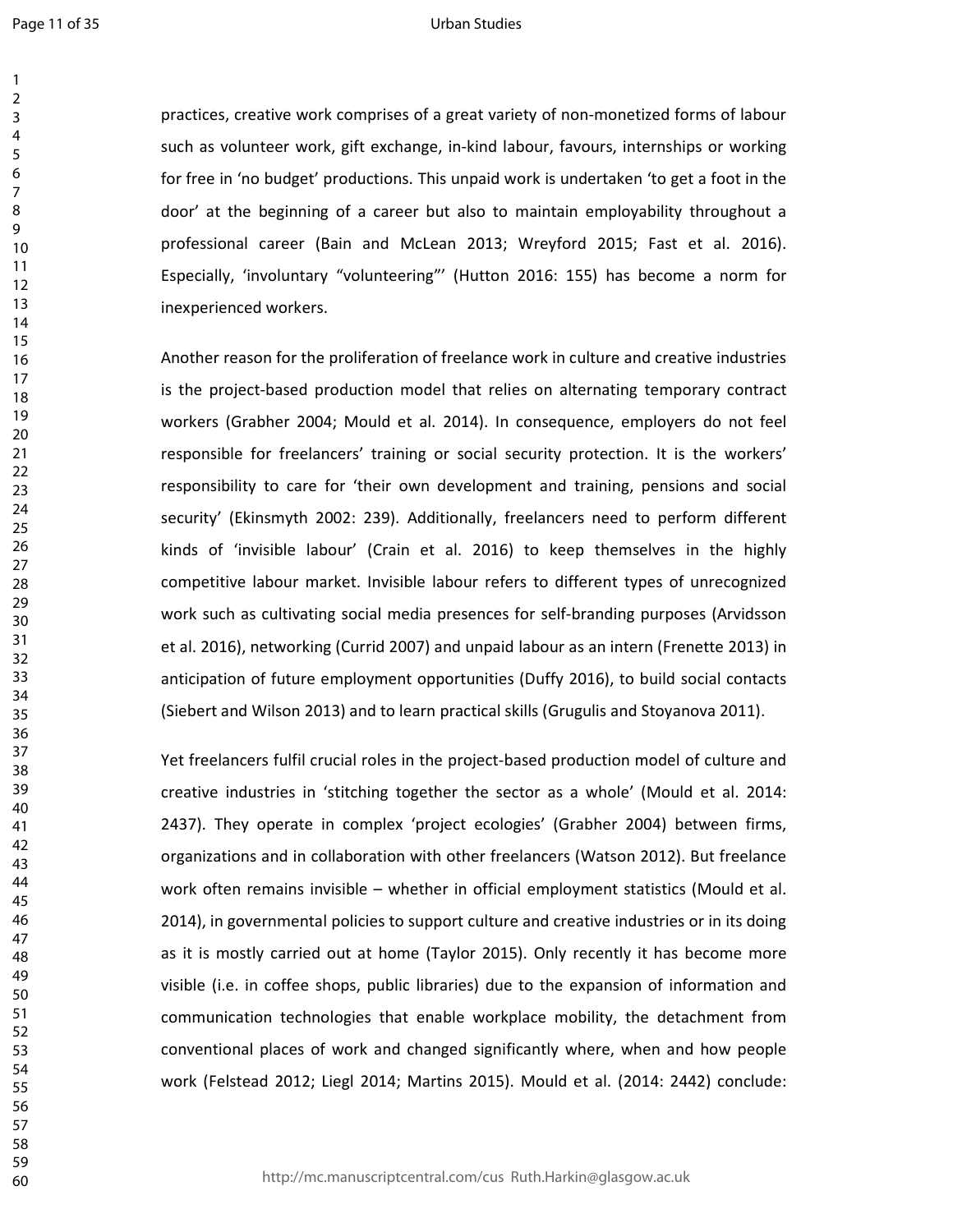#### Urban Studies

practices, creative work comprises of a great variety of non-monetized forms of labour such as volunteer work, gift exchange, in-kind labour, favours, internships or working for free in 'no budget' productions. This unpaid work is undertaken 'to get a foot in the door' at the beginning of a career but also to maintain employability throughout a professional career (Bain and McLean 2013; Wreyford 2015; Fast et al. 2016). Especially, 'involuntary "volunteering"' (Hutton 2016: 155) has become a norm for inexperienced workers.

Another reason for the proliferation of freelance work in culture and creative industries is the project-based production model that relies on alternating temporary contract workers (Grabher 2004; Mould et al. 2014). In consequence, employers do not feel responsible for freelancers' training or social security protection. It is the workers' responsibility to care for 'their own development and training, pensions and social security' (Ekinsmyth 2002: 239). Additionally, freelancers need to perform different kinds of 'invisible labour' (Crain et al. 2016) to keep themselves in the highly competitive labour market. Invisible labour refers to different types of unrecognized work such as cultivating social media presences for self-branding purposes (Arvidsson et al. 2016), networking (Currid 2007) and unpaid labour as an intern (Frenette 2013) in anticipation of future employment opportunities (Duffy 2016), to build social contacts (Siebert and Wilson 2013) and to learn practical skills (Grugulis and Stoyanova 2011).

Yet freelancers fulfil crucial roles in the project-based production model of culture and creative industries in 'stitching together the sector as a whole' (Mould et al. 2014: 2437). They operate in complex 'project ecologies' (Grabher 2004) between firms, organizations and in collaboration with other freelancers (Watson 2012). But freelance work often remains invisible – whether in official employment statistics (Mould et al. 2014), in governmental policies to support culture and creative industries or in its doing as it is mostly carried out at home (Taylor 2015). Only recently it has become more visible (i.e. in coffee shops, public libraries) due to the expansion of information and communication technologies that enable workplace mobility, the detachment from conventional places of work and changed significantly where, when and how people work (Felstead 2012; Liegl 2014; Martins 2015). Mould et al. (2014: 2442) conclude: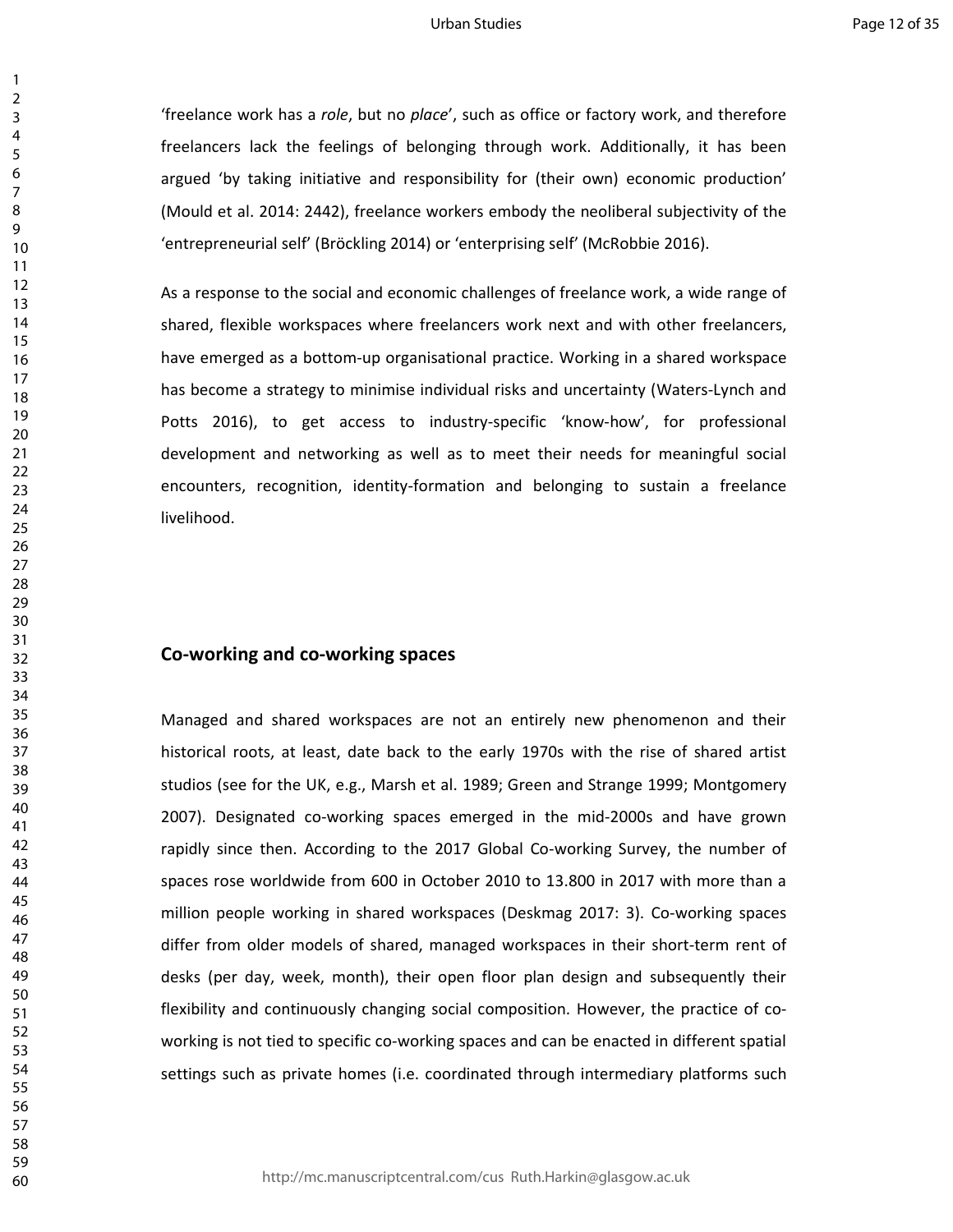'freelance work has a *role*, but no *place*', such as office or factory work, and therefore freelancers lack the feelings of belonging through work. Additionally, it has been argued 'by taking initiative and responsibility for (their own) economic production' (Mould et al. 2014: 2442), freelance workers embody the neoliberal subjectivity of the 'entrepreneurial self' (Bröckling 2014) or 'enterprising self' (McRobbie 2016).

As a response to the social and economic challenges of freelance work, a wide range of shared, flexible workspaces where freelancers work next and with other freelancers, have emerged as a bottom-up organisational practice. Working in a shared workspace has become a strategy to minimise individual risks and uncertainty (Waters-Lynch and Potts 2016), to get access to industry-specific 'know-how', for professional development and networking as well as to meet their needs for meaningful social encounters, recognition, identity-formation and belonging to sustain a freelance livelihood.

#### **Co-working and co-working spaces**

Managed and shared workspaces are not an entirely new phenomenon and their historical roots, at least, date back to the early 1970s with the rise of shared artist studios (see for the UK, e.g., Marsh et al. 1989; Green and Strange 1999; Montgomery 2007). Designated co-working spaces emerged in the mid-2000s and have grown rapidly since then. According to the 2017 Global Co-working Survey, the number of spaces rose worldwide from 600 in October 2010 to 13.800 in 2017 with more than a million people working in shared workspaces (Deskmag 2017: 3). Co-working spaces differ from older models of shared, managed workspaces in their short-term rent of desks (per day, week, month), their open floor plan design and subsequently their flexibility and continuously changing social composition. However, the practice of coworking is not tied to specific co-working spaces and can be enacted in different spatial settings such as private homes (i.e. coordinated through intermediary platforms such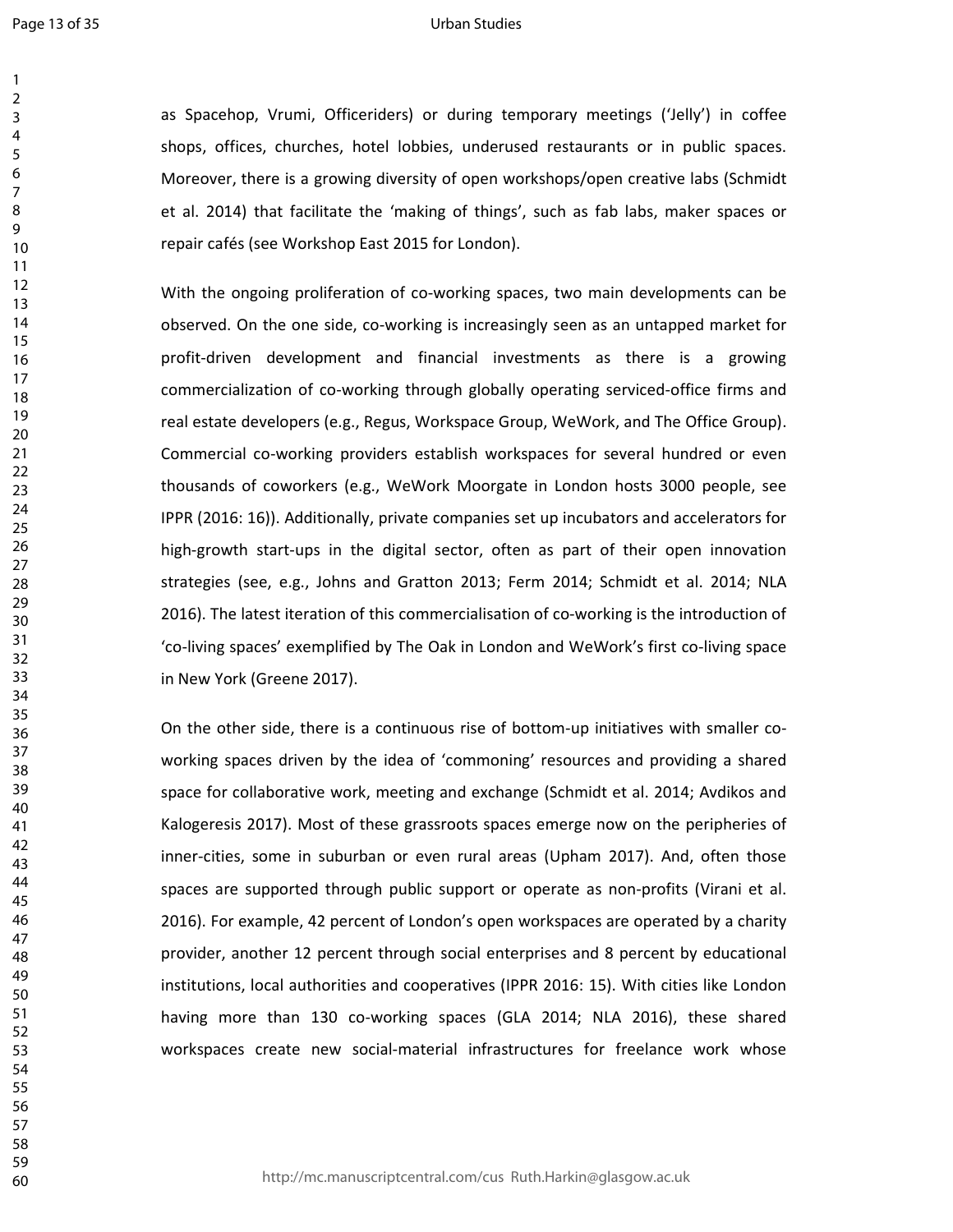#### Urban Studies

as Spacehop, Vrumi, Officeriders) or during temporary meetings ('Jelly') in coffee shops, offices, churches, hotel lobbies, underused restaurants or in public spaces. Moreover, there is a growing diversity of open workshops/open creative labs (Schmidt et al. 2014) that facilitate the 'making of things', such as fab labs, maker spaces or repair cafés (see Workshop East 2015 for London).

With the ongoing proliferation of co-working spaces, two main developments can be observed. On the one side, co-working is increasingly seen as an untapped market for profit-driven development and financial investments as there is a growing commercialization of co-working through globally operating serviced-office firms and real estate developers (e.g., Regus, Workspace Group, WeWork, and The Office Group). Commercial co-working providers establish workspaces for several hundred or even thousands of coworkers (e.g., WeWork Moorgate in London hosts 3000 people, see IPPR (2016: 16)). Additionally, private companies set up incubators and accelerators for high-growth start-ups in the digital sector, often as part of their open innovation strategies (see, e.g., Johns and Gratton 2013; Ferm 2014; Schmidt et al. 2014; NLA 2016). The latest iteration of this commercialisation of co-working is the introduction of 'co-living spaces' exemplified by The Oak in London and WeWork's first co-living space in New York (Greene 2017).

On the other side, there is a continuous rise of bottom-up initiatives with smaller coworking spaces driven by the idea of 'commoning' resources and providing a shared space for collaborative work, meeting and exchange (Schmidt et al. 2014; Avdikos and Kalogeresis 2017). Most of these grassroots spaces emerge now on the peripheries of inner-cities, some in suburban or even rural areas (Upham 2017). And, often those spaces are supported through public support or operate as non-profits (Virani et al. 2016). For example, 42 percent of London's open workspaces are operated by a charity provider, another 12 percent through social enterprises and 8 percent by educational institutions, local authorities and cooperatives (IPPR 2016: 15). With cities like London having more than 130 co-working spaces (GLA 2014; NLA 2016), these shared workspaces create new social-material infrastructures for freelance work whose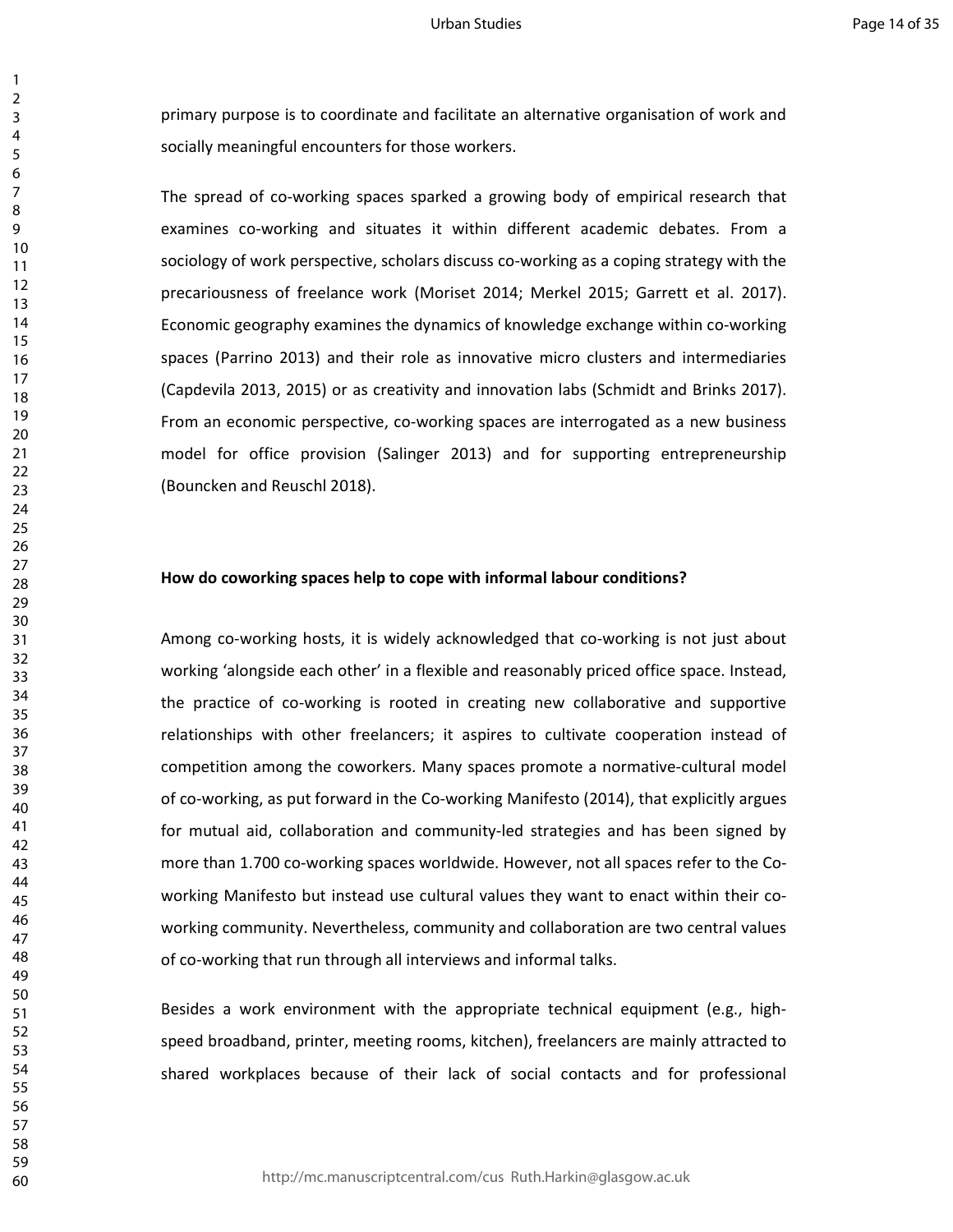primary purpose is to coordinate and facilitate an alternative organisation of work and socially meaningful encounters for those workers.

The spread of co-working spaces sparked a growing body of empirical research that examines co-working and situates it within different academic debates. From a sociology of work perspective, scholars discuss co-working as a coping strategy with the precariousness of freelance work (Moriset 2014; Merkel 2015; Garrett et al. 2017). Economic geography examines the dynamics of knowledge exchange within co-working spaces (Parrino 2013) and their role as innovative micro clusters and intermediaries (Capdevila 2013, 2015) or as creativity and innovation labs (Schmidt and Brinks 2017). From an economic perspective, co-working spaces are interrogated as a new business model for office provision (Salinger 2013) and for supporting entrepreneurship (Bouncken and Reuschl 2018).

#### **How do coworking spaces help to cope with informal labour conditions?**

Among co-working hosts, it is widely acknowledged that co-working is not just about working 'alongside each other' in a flexible and reasonably priced office space. Instead, the practice of co-working is rooted in creating new collaborative and supportive relationships with other freelancers; it aspires to cultivate cooperation instead of competition among the coworkers. Many spaces promote a normative-cultural model of co-working, as put forward in the Co-working Manifesto (2014), that explicitly argues for mutual aid, collaboration and community-led strategies and has been signed by more than 1.700 co-working spaces worldwide. However, not all spaces refer to the Coworking Manifesto but instead use cultural values they want to enact within their coworking community. Nevertheless, community and collaboration are two central values of co-working that run through all interviews and informal talks.

Besides a work environment with the appropriate technical equipment (e.g., highspeed broadband, printer, meeting rooms, kitchen), freelancers are mainly attracted to shared workplaces because of their lack of social contacts and for professional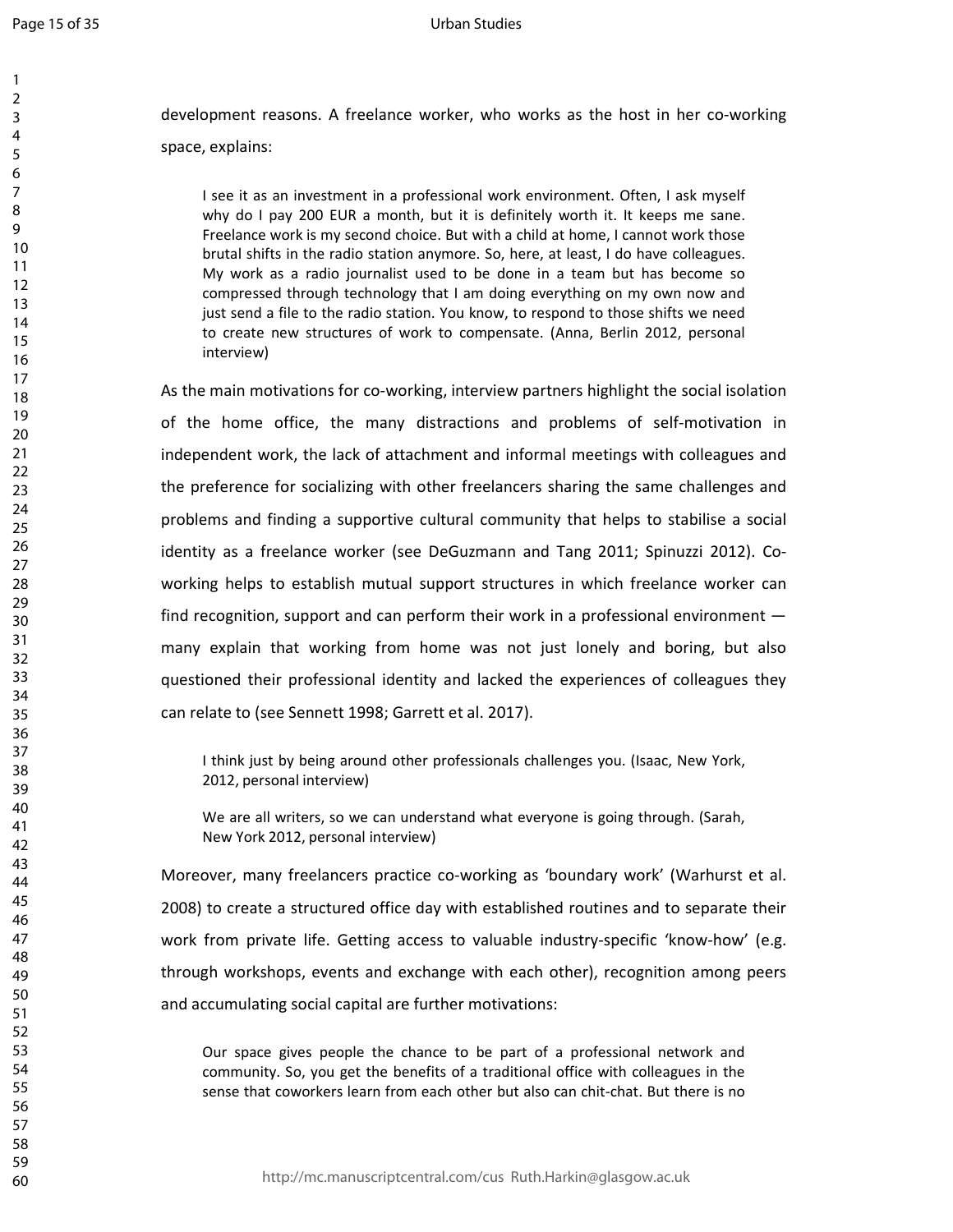development reasons. A freelance worker, who works as the host in her co-working space, explains:

I see it as an investment in a professional work environment. Often, I ask myself why do I pay 200 EUR a month, but it is definitely worth it. It keeps me sane. Freelance work is my second choice. But with a child at home, I cannot work those brutal shifts in the radio station anymore. So, here, at least, I do have colleagues. My work as a radio journalist used to be done in a team but has become so compressed through technology that I am doing everything on my own now and just send a file to the radio station. You know, to respond to those shifts we need to create new structures of work to compensate. (Anna, Berlin 2012, personal interview)

As the main motivations for co-working, interview partners highlight the social isolation of the home office, the many distractions and problems of self-motivation in independent work, the lack of attachment and informal meetings with colleagues and the preference for socializing with other freelancers sharing the same challenges and problems and finding a supportive cultural community that helps to stabilise a social identity as a freelance worker (see DeGuzmann and Tang 2011; Spinuzzi 2012). Coworking helps to establish mutual support structures in which freelance worker can find recognition, support and can perform their work in a professional environment many explain that working from home was not just lonely and boring, but also questioned their professional identity and lacked the experiences of colleagues they can relate to (see Sennett 1998; Garrett et al. 2017).

I think just by being around other professionals challenges you. (Isaac, New York, 2012, personal interview)

We are all writers, so we can understand what everyone is going through. (Sarah, New York 2012, personal interview)

Moreover, many freelancers practice co-working as 'boundary work' (Warhurst et al. 2008) to create a structured office day with established routines and to separate their work from private life. Getting access to valuable industry-specific 'know-how' (e.g. through workshops, events and exchange with each other), recognition among peers and accumulating social capital are further motivations:

Our space gives people the chance to be part of a professional network and community. So, you get the benefits of a traditional office with colleagues in the sense that coworkers learn from each other but also can chit-chat. But there is no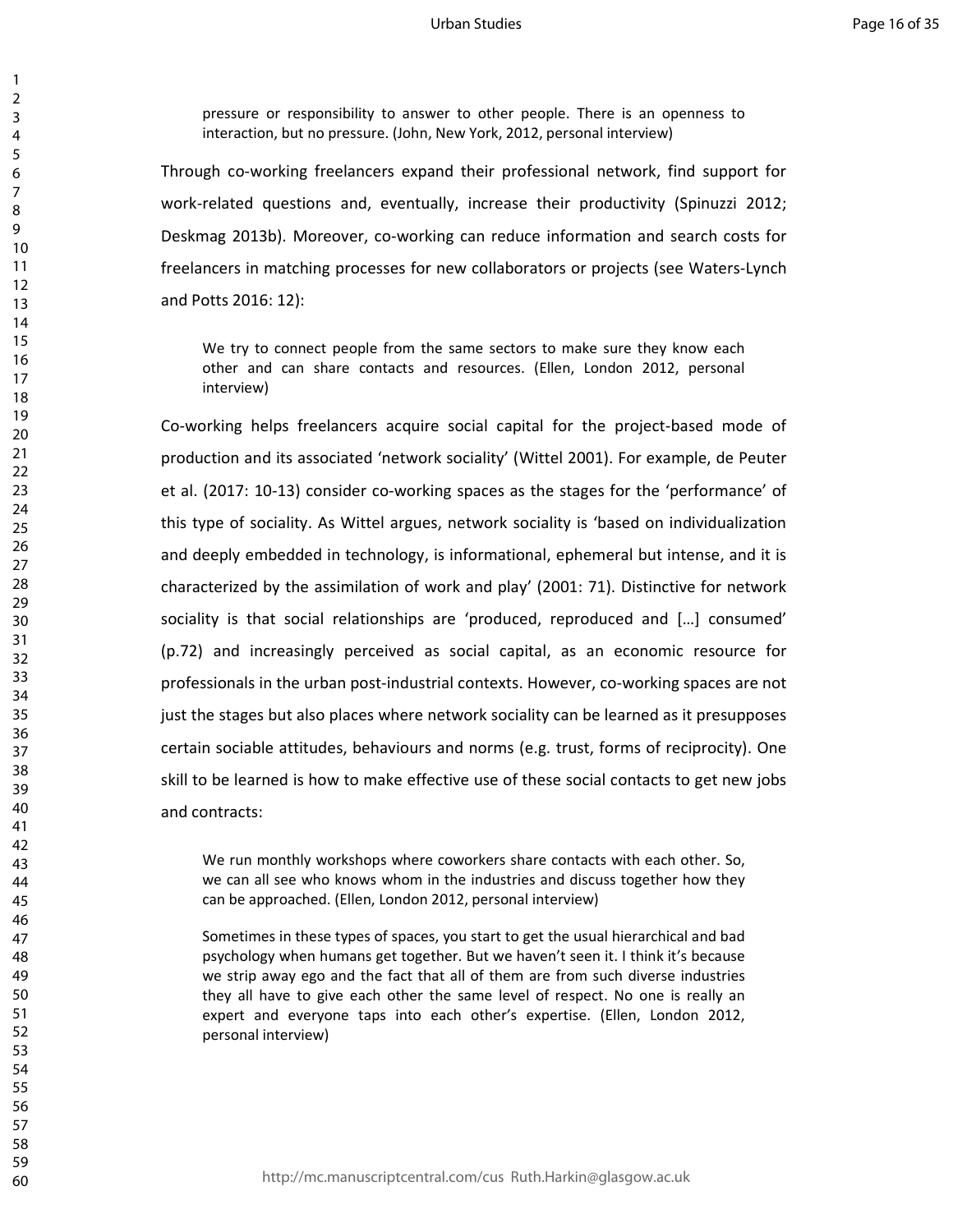pressure or responsibility to answer to other people. There is an openness to interaction, but no pressure. (John, New York, 2012, personal interview)

Through co-working freelancers expand their professional network, find support for work-related questions and, eventually, increase their productivity (Spinuzzi 2012; Deskmag 2013b). Moreover, co-working can reduce information and search costs for freelancers in matching processes for new collaborators or projects (see Waters-Lynch and Potts 2016: 12):

We try to connect people from the same sectors to make sure they know each other and can share contacts and resources. (Ellen, London 2012, personal interview)

Co-working helps freelancers acquire social capital for the project-based mode of production and its associated 'network sociality' (Wittel 2001). For example, de Peuter et al. (2017: 10-13) consider co-working spaces as the stages for the 'performance' of this type of sociality. As Wittel argues, network sociality is 'based on individualization and deeply embedded in technology, is informational, ephemeral but intense, and it is characterized by the assimilation of work and play' (2001: 71). Distinctive for network sociality is that social relationships are 'produced, reproduced and […] consumed' (p.72) and increasingly perceived as social capital, as an economic resource for professionals in the urban post-industrial contexts. However, co-working spaces are not just the stages but also places where network sociality can be learned as it presupposes certain sociable attitudes, behaviours and norms (e.g. trust, forms of reciprocity). One skill to be learned is how to make effective use of these social contacts to get new jobs and contracts:

We run monthly workshops where coworkers share contacts with each other. So, we can all see who knows whom in the industries and discuss together how they can be approached. (Ellen, London 2012, personal interview)

Sometimes in these types of spaces, you start to get the usual hierarchical and bad psychology when humans get together. But we haven't seen it. I think it's because we strip away ego and the fact that all of them are from such diverse industries they all have to give each other the same level of respect. No one is really an expert and everyone taps into each other's expertise. (Ellen, London 2012, personal interview)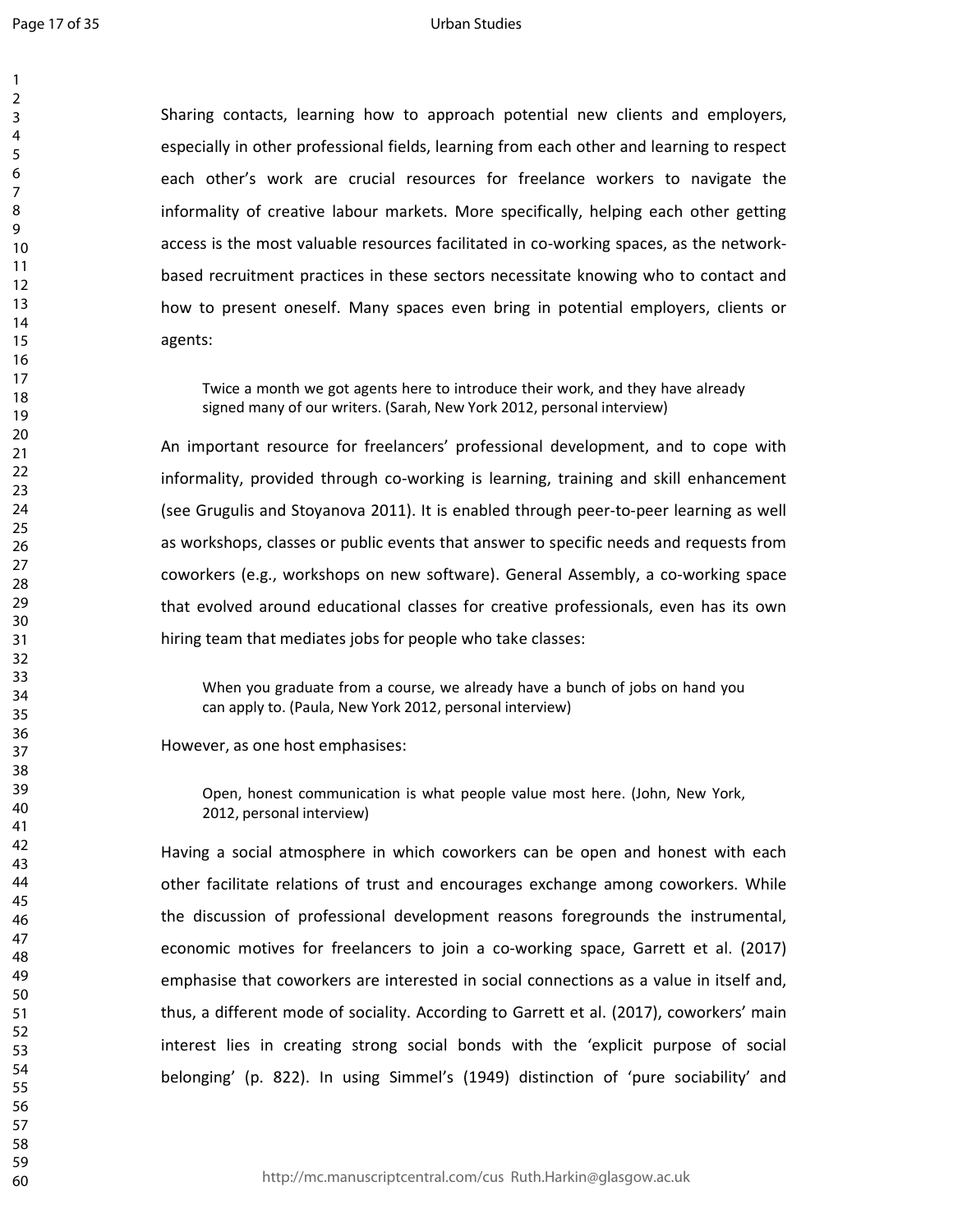#### Urban Studies

Sharing contacts, learning how to approach potential new clients and employers, especially in other professional fields, learning from each other and learning to respect each other's work are crucial resources for freelance workers to navigate the informality of creative labour markets. More specifically, helping each other getting access is the most valuable resources facilitated in co-working spaces, as the networkbased recruitment practices in these sectors necessitate knowing who to contact and how to present oneself. Many spaces even bring in potential employers, clients or agents:

Twice a month we got agents here to introduce their work, and they have already signed many of our writers. (Sarah, New York 2012, personal interview)

An important resource for freelancers' professional development, and to cope with informality, provided through co-working is learning, training and skill enhancement (see Grugulis and Stoyanova 2011). It is enabled through peer-to-peer learning as well as workshops, classes or public events that answer to specific needs and requests from coworkers (e.g., workshops on new software). General Assembly, a co-working space that evolved around educational classes for creative professionals, even has its own hiring team that mediates jobs for people who take classes:

When you graduate from a course, we already have a bunch of jobs on hand you can apply to. (Paula, New York 2012, personal interview)

However, as one host emphasises:

Open, honest communication is what people value most here. (John, New York, 2012, personal interview)

Having a social atmosphere in which coworkers can be open and honest with each other facilitate relations of trust and encourages exchange among coworkers. While the discussion of professional development reasons foregrounds the instrumental, economic motives for freelancers to join a co-working space, Garrett et al. (2017) emphasise that coworkers are interested in social connections as a value in itself and, thus, a different mode of sociality. According to Garrett et al. (2017), coworkers' main interest lies in creating strong social bonds with the 'explicit purpose of social belonging' (p. 822). In using Simmel's (1949) distinction of 'pure sociability' and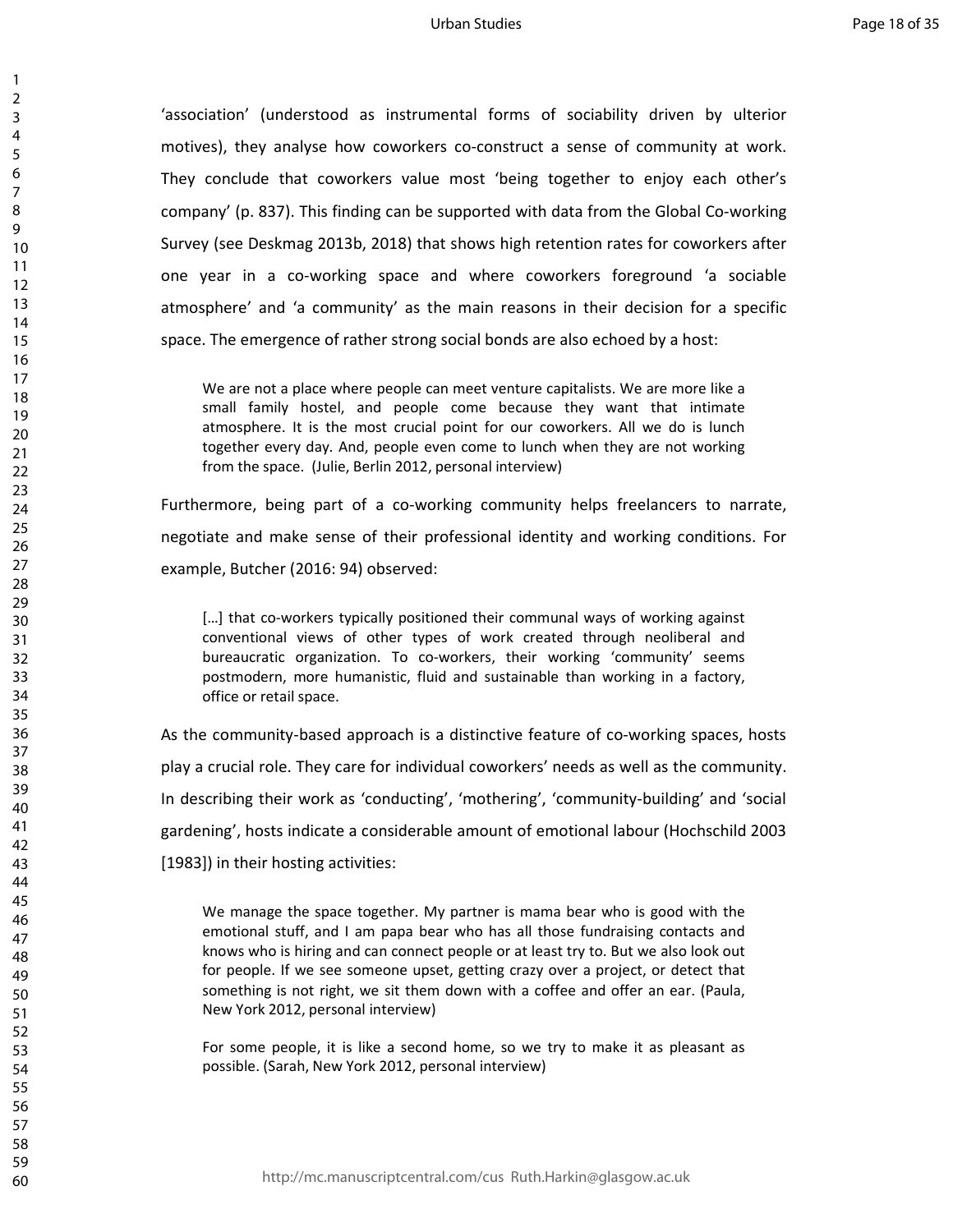'association' (understood as instrumental forms of sociability driven by ulterior motives), they analyse how coworkers co-construct a sense of community at work. They conclude that coworkers value most 'being together to enjoy each other's company' (p. 837). This finding can be supported with data from the Global Co-working Survey (see Deskmag 2013b, 2018) that shows high retention rates for coworkers after one year in a co-working space and where coworkers foreground 'a sociable atmosphere' and 'a community' as the main reasons in their decision for a specific space. The emergence of rather strong social bonds are also echoed by a host:

We are not a place where people can meet venture capitalists. We are more like a small family hostel, and people come because they want that intimate atmosphere. It is the most crucial point for our coworkers. All we do is lunch together every day. And, people even come to lunch when they are not working from the space. (Julie, Berlin 2012, personal interview)

Furthermore, being part of a co-working community helps freelancers to narrate, negotiate and make sense of their professional identity and working conditions. For example, Butcher (2016: 94) observed:

[...] that co-workers typically positioned their communal ways of working against conventional views of other types of work created through neoliberal and bureaucratic organization. To co-workers, their working 'community' seems postmodern, more humanistic, fluid and sustainable than working in a factory, office or retail space.

As the community-based approach is a distinctive feature of co-working spaces, hosts play a crucial role. They care for individual coworkers' needs as well as the community. In describing their work as 'conducting', 'mothering', 'community-building' and 'social gardening', hosts indicate a considerable amount of emotional labour (Hochschild 2003 [1983]) in their hosting activities:

We manage the space together. My partner is mama bear who is good with the emotional stuff, and I am papa bear who has all those fundraising contacts and knows who is hiring and can connect people or at least try to. But we also look out for people. If we see someone upset, getting crazy over a project, or detect that something is not right, we sit them down with a coffee and offer an ear. (Paula, New York 2012, personal interview)

For some people, it is like a second home, so we try to make it as pleasant as possible. (Sarah, New York 2012, personal interview)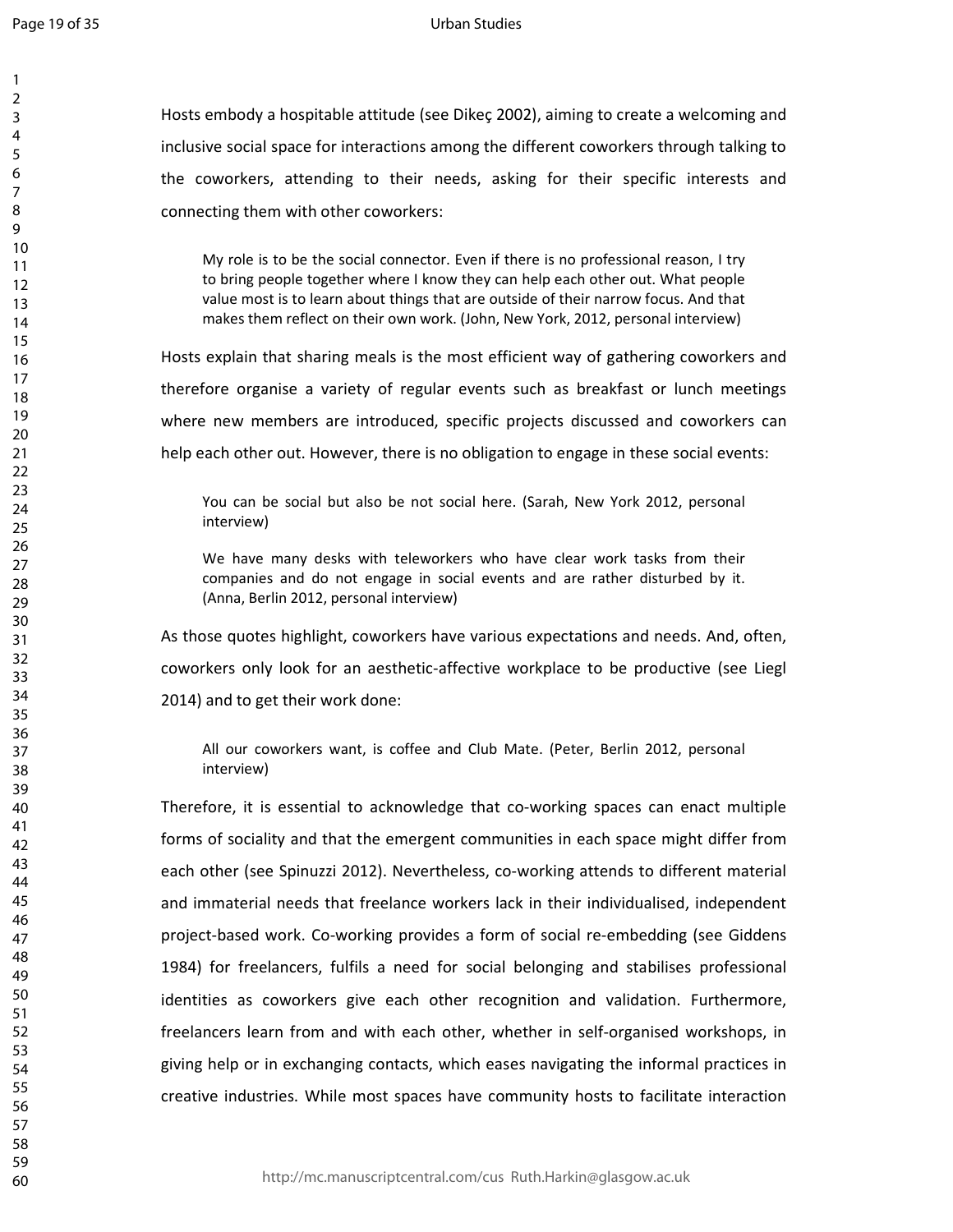Hosts embody a hospitable attitude (see Dikeç 2002), aiming to create a welcoming and inclusive social space for interactions among the different coworkers through talking to the coworkers, attending to their needs, asking for their specific interests and connecting them with other coworkers: My role is to be the social connector. Even if there is no professional reason, I try to bring people together where I know they can help each other out. What people value most is to learn about things that are outside of their narrow focus. And that makes them reflect on their own work. (John, New York, 2012, personal interview) Hosts explain that sharing meals is the most efficient way of gathering coworkers and therefore organise a variety of regular events such as breakfast or lunch meetings where new members are introduced, specific projects discussed and coworkers can help each other out. However, there is no obligation to engage in these social events: You can be social but also be not social here. (Sarah, New York 2012, personal interview) We have many desks with teleworkers who have clear work tasks from their companies and do not engage in social events and are rather disturbed by it. (Anna, Berlin 2012, personal interview) As those quotes highlight, coworkers have various expectations and needs. And, often, coworkers only look for an aesthetic-affective workplace to be productive (see Liegl 2014) and to get their work done: All our coworkers want, is coffee and Club Mate. (Peter, Berlin 2012, personal interview) Therefore, it is essential to acknowledge that co-working spaces can enact multiple forms of sociality and that the emergent communities in each space might differ from each other (see Spinuzzi 2012). Nevertheless, co-working attends to different material and immaterial needs that freelance workers lack in their individualised, independent project-based work. Co-working provides a form of social re-embedding (see Giddens 1984) for freelancers, fulfils a need for social belonging and stabilises professional identities as coworkers give each other recognition and validation. Furthermore, freelancers learn from and with each other, whether in self-organised workshops, in giving help or in exchanging contacts, which eases navigating the informal practices in creative industries. While most spaces have community hosts to facilitate interaction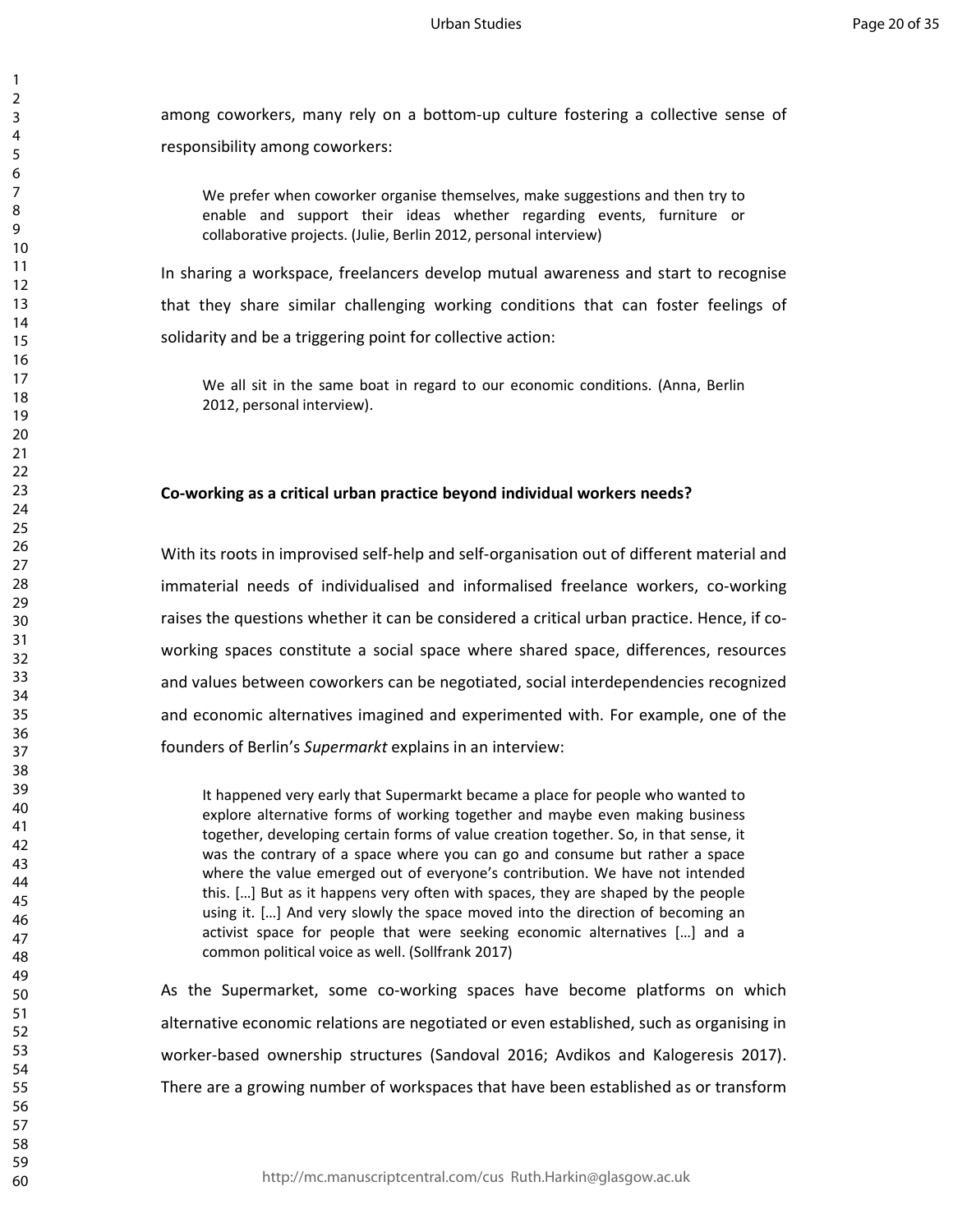among coworkers, many rely on a bottom-up culture fostering a collective sense of responsibility among coworkers:

We prefer when coworker organise themselves, make suggestions and then try to enable and support their ideas whether regarding events, furniture or collaborative projects. (Julie, Berlin 2012, personal interview)

In sharing a workspace, freelancers develop mutual awareness and start to recognise that they share similar challenging working conditions that can foster feelings of solidarity and be a triggering point for collective action:

We all sit in the same boat in regard to our economic conditions. (Anna, Berlin 2012, personal interview).

#### **Co-working as a critical urban practice beyond individual workers needs?**

With its roots in improvised self-help and self-organisation out of different material and immaterial needs of individualised and informalised freelance workers, co-working raises the questions whether it can be considered a critical urban practice. Hence, if coworking spaces constitute a social space where shared space, differences, resources and values between coworkers can be negotiated, social interdependencies recognized and economic alternatives imagined and experimented with. For example, one of the founders of Berlin's *Supermarkt* explains in an interview:

It happened very early that Supermarkt became a place for people who wanted to explore alternative forms of working together and maybe even making business together, developing certain forms of value creation together. So, in that sense, it was the contrary of a space where you can go and consume but rather a space where the value emerged out of everyone's contribution. We have not intended this. […] But as it happens very often with spaces, they are shaped by the people using it. […] And very slowly the space moved into the direction of becoming an activist space for people that were seeking economic alternatives […] and a common political voice as well. (Sollfrank 2017)

As the Supermarket, some co-working spaces have become platforms on which alternative economic relations are negotiated or even established, such as organising in worker-based ownership structures (Sandoval 2016; Avdikos and Kalogeresis 2017). There are a growing number of workspaces that have been established as or transform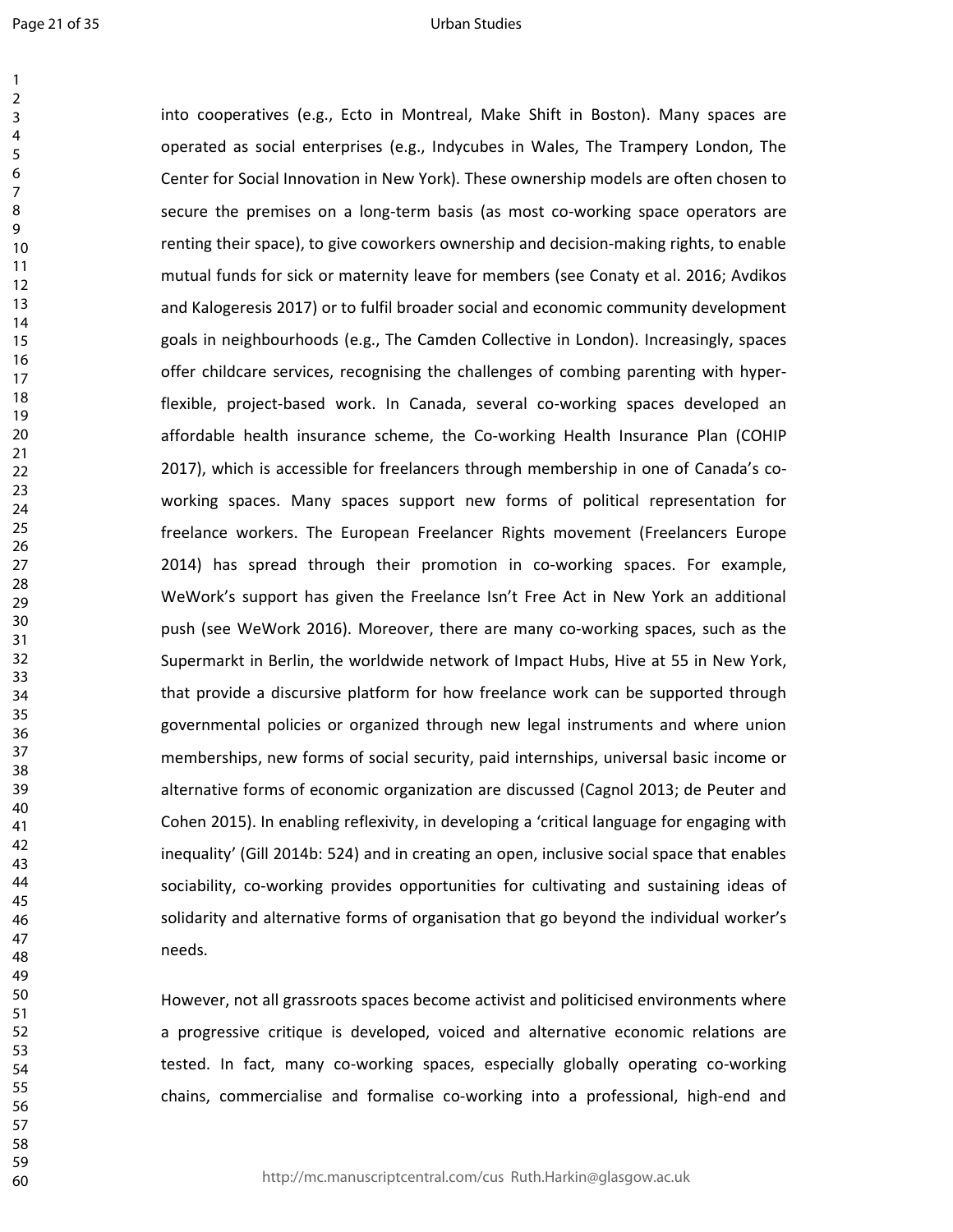#### Urban Studies

into cooperatives (e.g., Ecto in Montreal, Make Shift in Boston). Many spaces are operated as social enterprises (e.g., Indycubes in Wales, The Trampery London, The Center for Social Innovation in New York). These ownership models are often chosen to secure the premises on a long-term basis (as most co-working space operators are renting their space), to give coworkers ownership and decision-making rights, to enable mutual funds for sick or maternity leave for members (see Conaty et al. 2016; Avdikos and Kalogeresis 2017) or to fulfil broader social and economic community development goals in neighbourhoods (e.g., The Camden Collective in London). Increasingly, spaces offer childcare services, recognising the challenges of combing parenting with hyperflexible, project-based work. In Canada, several co-working spaces developed an affordable health insurance scheme, the Co-working Health Insurance Plan (COHIP 2017), which is accessible for freelancers through membership in one of Canada's coworking spaces. Many spaces support new forms of political representation for freelance workers. The European Freelancer Rights movement (Freelancers Europe 2014) has spread through their promotion in co-working spaces. For example, WeWork's support has given the Freelance Isn't Free Act in New York an additional push (see WeWork 2016). Moreover, there are many co-working spaces, such as the Supermarkt in Berlin, the worldwide network of Impact Hubs, Hive at 55 in New York, that provide a discursive platform for how freelance work can be supported through governmental policies or organized through new legal instruments and where union memberships, new forms of social security, paid internships, universal basic income or alternative forms of economic organization are discussed (Cagnol 2013; de Peuter and Cohen 2015). In enabling reflexivity, in developing a 'critical language for engaging with inequality' (Gill 2014b: 524) and in creating an open, inclusive social space that enables sociability, co-working provides opportunities for cultivating and sustaining ideas of solidarity and alternative forms of organisation that go beyond the individual worker's needs.

However, not all grassroots spaces become activist and politicised environments where a progressive critique is developed, voiced and alternative economic relations are tested. In fact, many co-working spaces, especially globally operating co-working chains, commercialise and formalise co-working into a professional, high-end and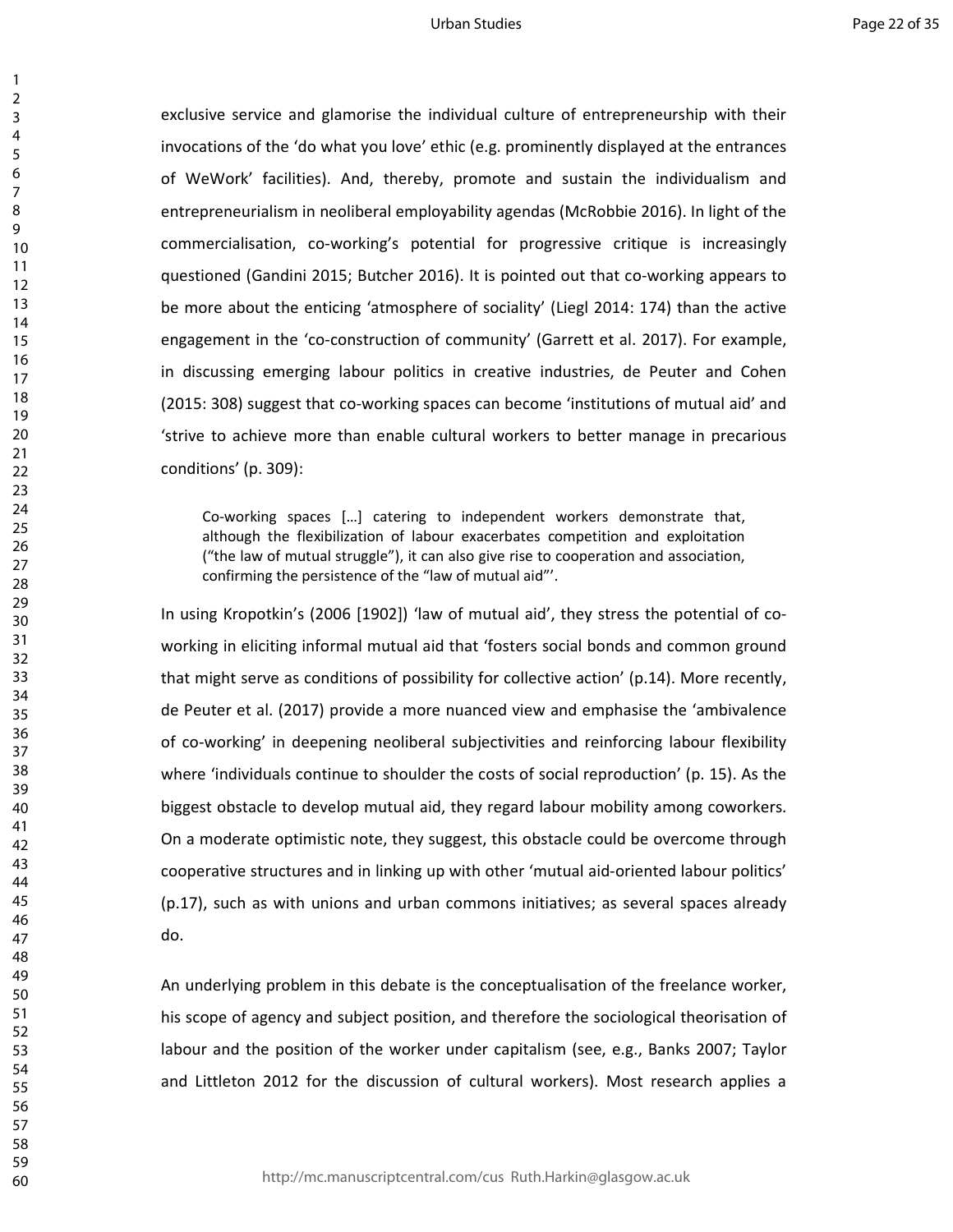exclusive service and glamorise the individual culture of entrepreneurship with their invocations of the 'do what you love' ethic (e.g. prominently displayed at the entrances of WeWork' facilities). And, thereby, promote and sustain the individualism and entrepreneurialism in neoliberal employability agendas (McRobbie 2016). In light of the commercialisation, co-working's potential for progressive critique is increasingly questioned (Gandini 2015; Butcher 2016). It is pointed out that co-working appears to be more about the enticing 'atmosphere of sociality' (Liegl 2014: 174) than the active engagement in the 'co-construction of community' (Garrett et al. 2017). For example, in discussing emerging labour politics in creative industries, de Peuter and Cohen (2015: 308) suggest that co-working spaces can become 'institutions of mutual aid' and 'strive to achieve more than enable cultural workers to better manage in precarious conditions' (p. 309):

Co-working spaces […] catering to independent workers demonstrate that, although the flexibilization of labour exacerbates competition and exploitation ("the law of mutual struggle"), it can also give rise to cooperation and association, confirming the persistence of the "law of mutual aid"'.

In using Kropotkin's (2006 [1902]) 'law of mutual aid', they stress the potential of coworking in eliciting informal mutual aid that 'fosters social bonds and common ground that might serve as conditions of possibility for collective action' (p.14). More recently, de Peuter et al. (2017) provide a more nuanced view and emphasise the 'ambivalence of co-working' in deepening neoliberal subjectivities and reinforcing labour flexibility where 'individuals continue to shoulder the costs of social reproduction' (p. 15). As the biggest obstacle to develop mutual aid, they regard labour mobility among coworkers. On a moderate optimistic note, they suggest, this obstacle could be overcome through cooperative structures and in linking up with other 'mutual aid-oriented labour politics' (p.17), such as with unions and urban commons initiatives; as several spaces already do.

An underlying problem in this debate is the conceptualisation of the freelance worker, his scope of agency and subject position, and therefore the sociological theorisation of labour and the position of the worker under capitalism (see, e.g., Banks 2007; Taylor and Littleton 2012 for the discussion of cultural workers). Most research applies a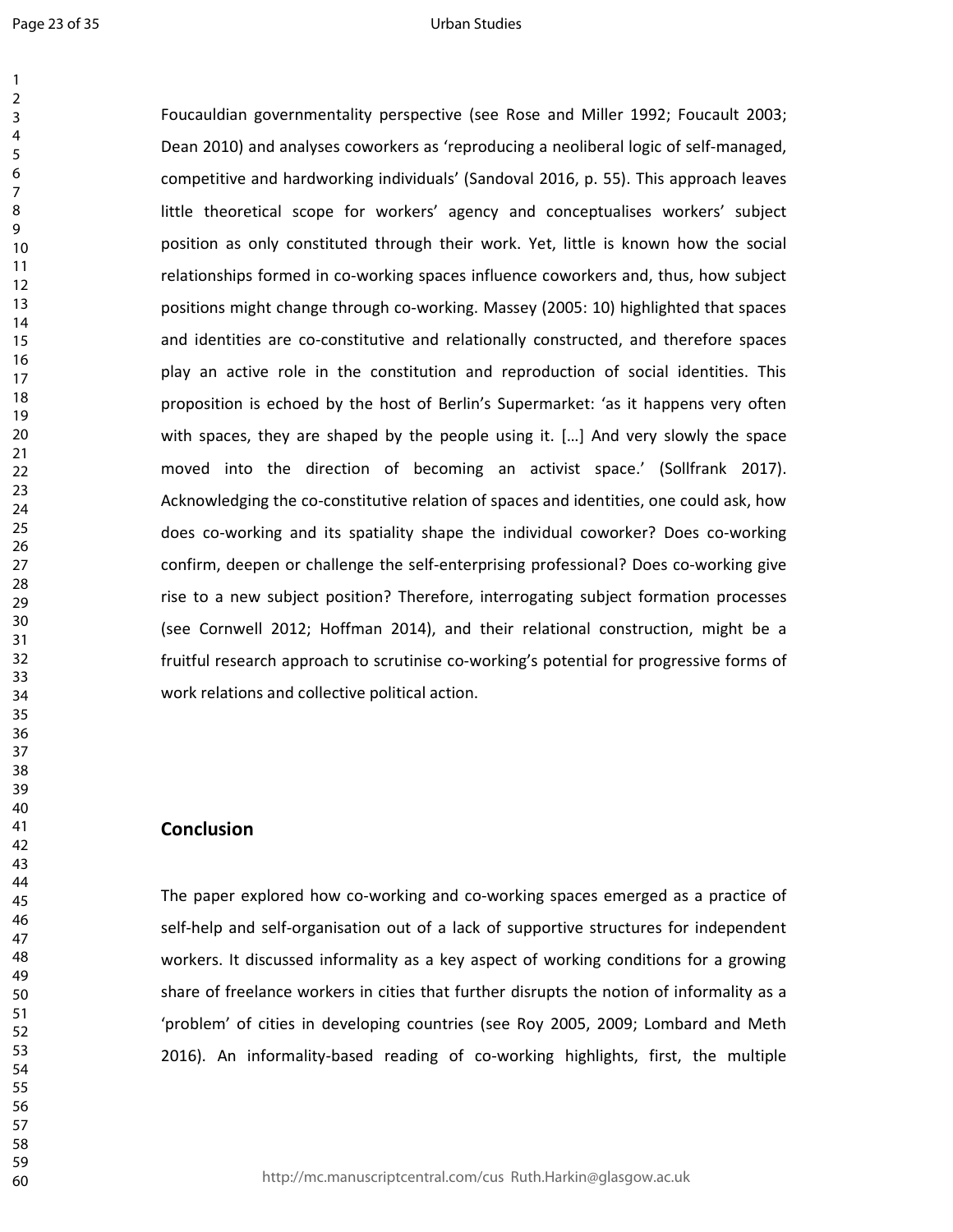#### Urban Studies

Foucauldian governmentality perspective (see Rose and Miller 1992; Foucault 2003; Dean 2010) and analyses coworkers as 'reproducing a neoliberal logic of self-managed, competitive and hardworking individuals' (Sandoval 2016, p. 55). This approach leaves little theoretical scope for workers' agency and conceptualises workers' subject position as only constituted through their work. Yet, little is known how the social relationships formed in co-working spaces influence coworkers and, thus, how subject positions might change through co-working. Massey (2005: 10) highlighted that spaces and identities are co-constitutive and relationally constructed, and therefore spaces play an active role in the constitution and reproduction of social identities. This proposition is echoed by the host of Berlin's Supermarket: 'as it happens very often with spaces, they are shaped by the people using it. […] And very slowly the space moved into the direction of becoming an activist space.' (Sollfrank 2017). Acknowledging the co-constitutive relation of spaces and identities, one could ask, how does co-working and its spatiality shape the individual coworker? Does co-working confirm, deepen or challenge the self-enterprising professional? Does co-working give rise to a new subject position? Therefore, interrogating subject formation processes (see Cornwell 2012; Hoffman 2014), and their relational construction, might be a fruitful research approach to scrutinise co-working's potential for progressive forms of work relations and collective political action.

### **Conclusion**

The paper explored how co-working and co-working spaces emerged as a practice of self-help and self-organisation out of a lack of supportive structures for independent workers. It discussed informality as a key aspect of working conditions for a growing share of freelance workers in cities that further disrupts the notion of informality as a 'problem' of cities in developing countries (see Roy 2005, 2009; Lombard and Meth 2016). An informality-based reading of co-working highlights, first, the multiple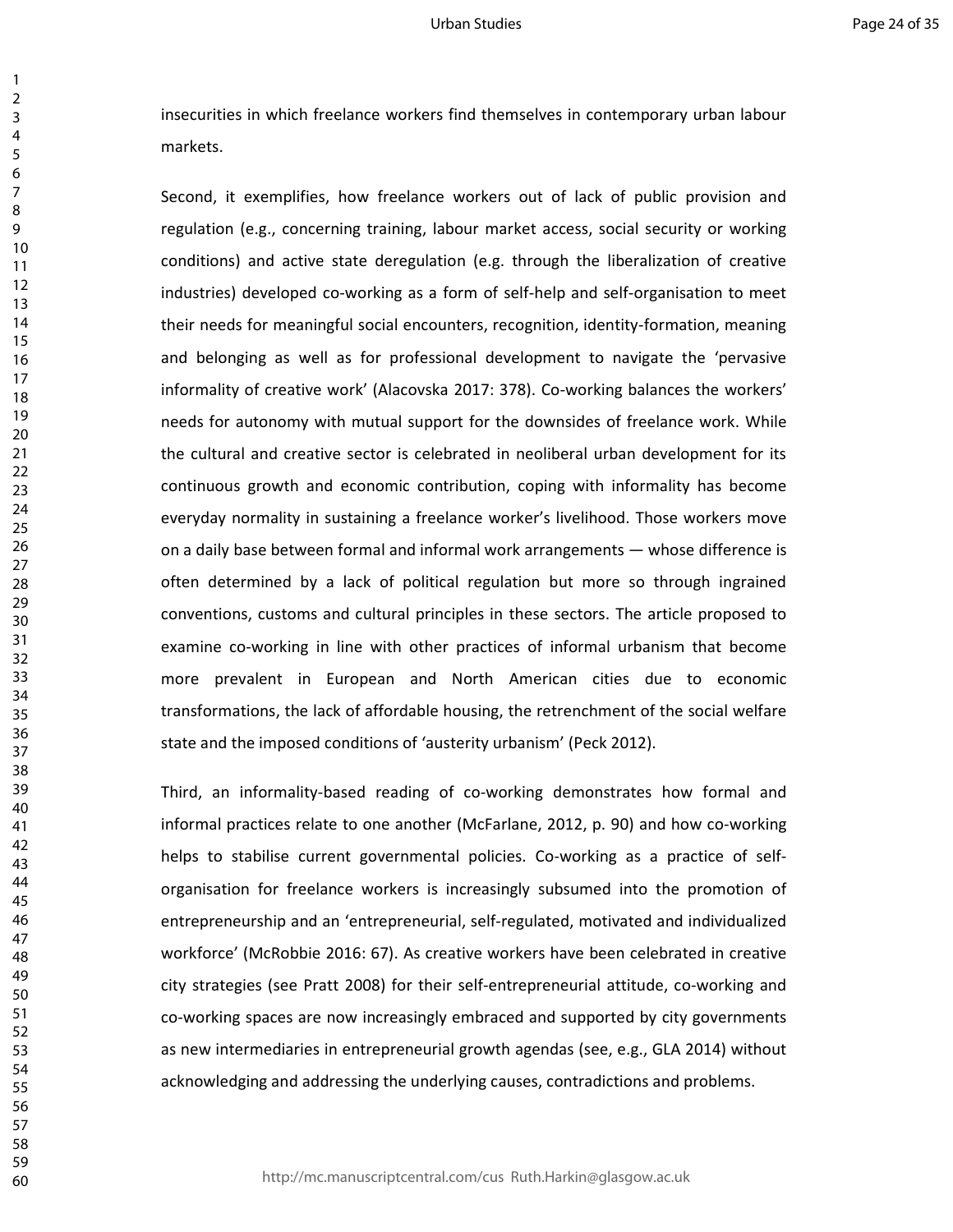insecurities in which freelance workers find themselves in contemporary urban labour markets.

Second, it exemplifies, how freelance workers out of lack of public provision and regulation (e.g., concerning training, labour market access, social security or working conditions) and active state deregulation (e.g. through the liberalization of creative industries) developed co-working as a form of self-help and self-organisation to meet their needs for meaningful social encounters, recognition, identity-formation, meaning and belonging as well as for professional development to navigate the 'pervasive informality of creative work' (Alacovska 2017: 378). Co-working balances the workers' needs for autonomy with mutual support for the downsides of freelance work. While the cultural and creative sector is celebrated in neoliberal urban development for its continuous growth and economic contribution, coping with informality has become everyday normality in sustaining a freelance worker's livelihood. Those workers move on a daily base between formal and informal work arrangements — whose difference is often determined by a lack of political regulation but more so through ingrained conventions, customs and cultural principles in these sectors. The article proposed to examine co-working in line with other practices of informal urbanism that become more prevalent in European and North American cities due to economic transformations, the lack of affordable housing, the retrenchment of the social welfare state and the imposed conditions of 'austerity urbanism' (Peck 2012).

Third, an informality-based reading of co-working demonstrates how formal and informal practices relate to one another (McFarlane, 2012, p. 90) and how co-working helps to stabilise current governmental policies. Co-working as a practice of selforganisation for freelance workers is increasingly subsumed into the promotion of entrepreneurship and an 'entrepreneurial, self-regulated, motivated and individualized workforce' (McRobbie 2016: 67). As creative workers have been celebrated in creative city strategies (see Pratt 2008) for their self-entrepreneurial attitude, co-working and co-working spaces are now increasingly embraced and supported by city governments as new intermediaries in entrepreneurial growth agendas (see, e.g., GLA 2014) without acknowledging and addressing the underlying causes, contradictions and problems.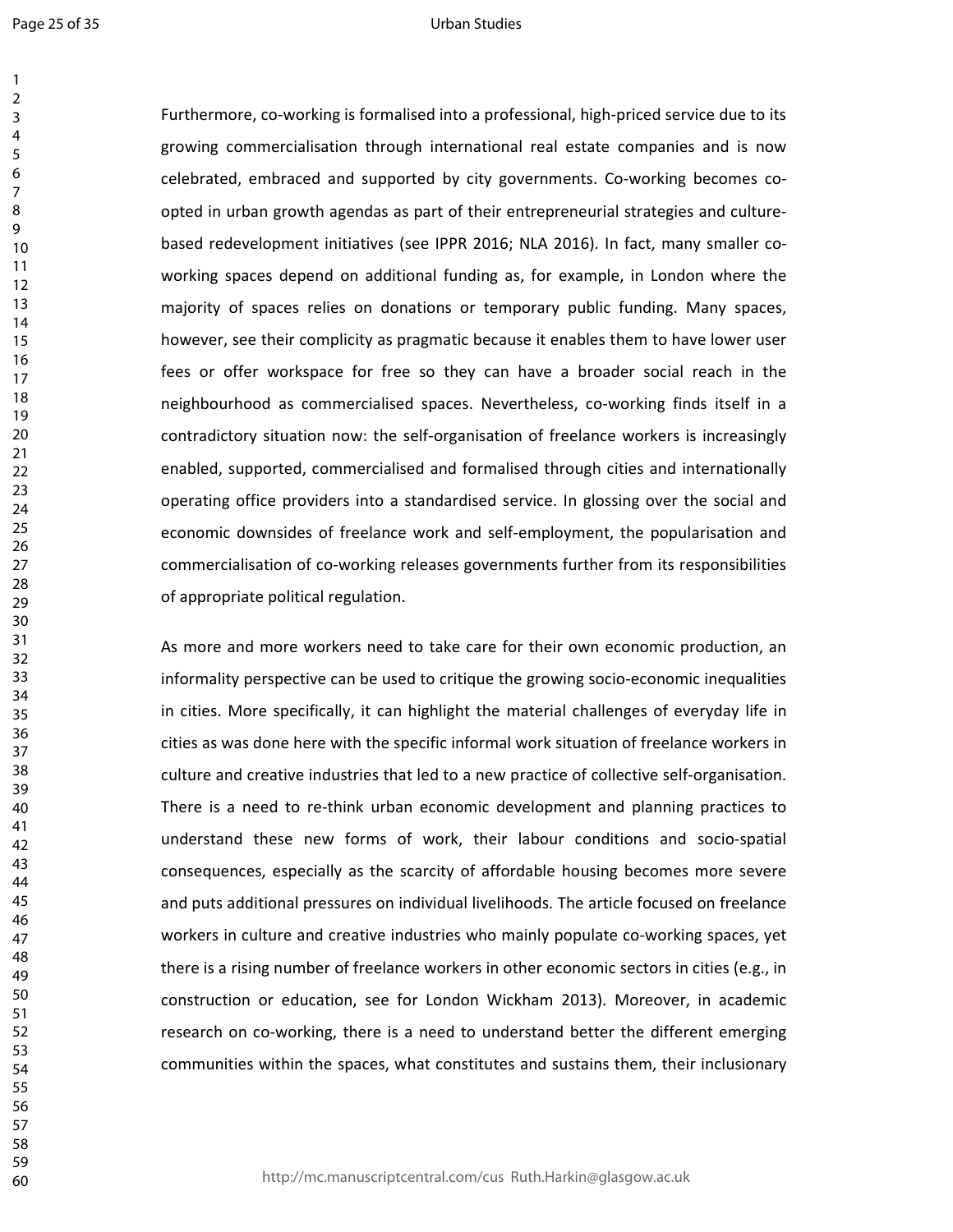#### Urban Studies

Furthermore, co-working is formalised into a professional, high-priced service due to its growing commercialisation through international real estate companies and is now celebrated, embraced and supported by city governments. Co-working becomes coopted in urban growth agendas as part of their entrepreneurial strategies and culturebased redevelopment initiatives (see IPPR 2016; NLA 2016). In fact, many smaller coworking spaces depend on additional funding as, for example, in London where the majority of spaces relies on donations or temporary public funding. Many spaces, however, see their complicity as pragmatic because it enables them to have lower user fees or offer workspace for free so they can have a broader social reach in the neighbourhood as commercialised spaces. Nevertheless, co-working finds itself in a contradictory situation now: the self-organisation of freelance workers is increasingly enabled, supported, commercialised and formalised through cities and internationally operating office providers into a standardised service. In glossing over the social and economic downsides of freelance work and self-employment, the popularisation and commercialisation of co-working releases governments further from its responsibilities of appropriate political regulation.

As more and more workers need to take care for their own economic production, an informality perspective can be used to critique the growing socio-economic inequalities in cities. More specifically, it can highlight the material challenges of everyday life in cities as was done here with the specific informal work situation of freelance workers in culture and creative industries that led to a new practice of collective self-organisation. There is a need to re-think urban economic development and planning practices to understand these new forms of work, their labour conditions and socio-spatial consequences, especially as the scarcity of affordable housing becomes more severe and puts additional pressures on individual livelihoods. The article focused on freelance workers in culture and creative industries who mainly populate co-working spaces, yet there is a rising number of freelance workers in other economic sectors in cities (e.g., in construction or education, see for London Wickham 2013). Moreover, in academic research on co-working, there is a need to understand better the different emerging communities within the spaces, what constitutes and sustains them, their inclusionary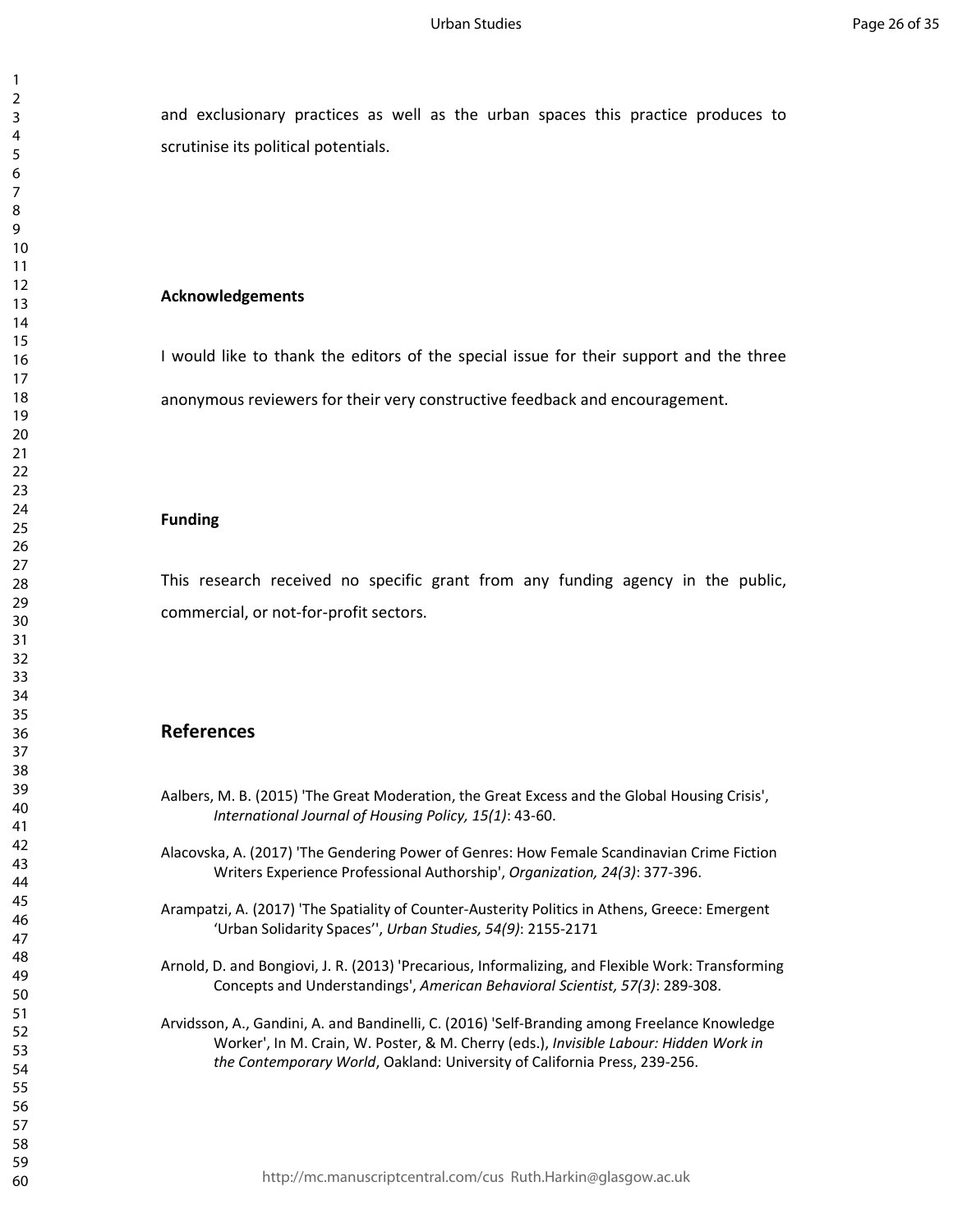and exclusionary practices as well as the urban spaces this practice produces to scrutinise its political potentials.

#### **Acknowledgements**

I would like to thank the editors of the special issue for their support and the three

anonymous reviewers for their very constructive feedback and encouragement.

#### **Funding**

This research received no specific grant from any funding agency in the public, commercial, or not-for-profit sectors.

## **References**

- Aalbers, M. B. (2015) 'The Great Moderation, the Great Excess and the Global Housing Crisis', *International Journal of Housing Policy, 15(1)*: 43-60.
- Alacovska, A. (2017) 'The Gendering Power of Genres: How Female Scandinavian Crime Fiction Writers Experience Professional Authorship', *Organization, 24(3)*: 377-396.
- Arampatzi, A. (2017) 'The Spatiality of Counter-Austerity Politics in Athens, Greece: Emergent 'Urban Solidarity Spaces'', *Urban Studies, 54(9)*: 2155-2171
- Arnold, D. and Bongiovi, J. R. (2013) 'Precarious, Informalizing, and Flexible Work: Transforming Concepts and Understandings', *American Behavioral Scientist, 57(3)*: 289-308.
- Arvidsson, A., Gandini, A. and Bandinelli, C. (2016) 'Self-Branding among Freelance Knowledge Worker', In M. Crain, W. Poster, & M. Cherry (eds.), *Invisible Labour: Hidden Work in the Contemporary World*, Oakland: University of California Press, 239-256.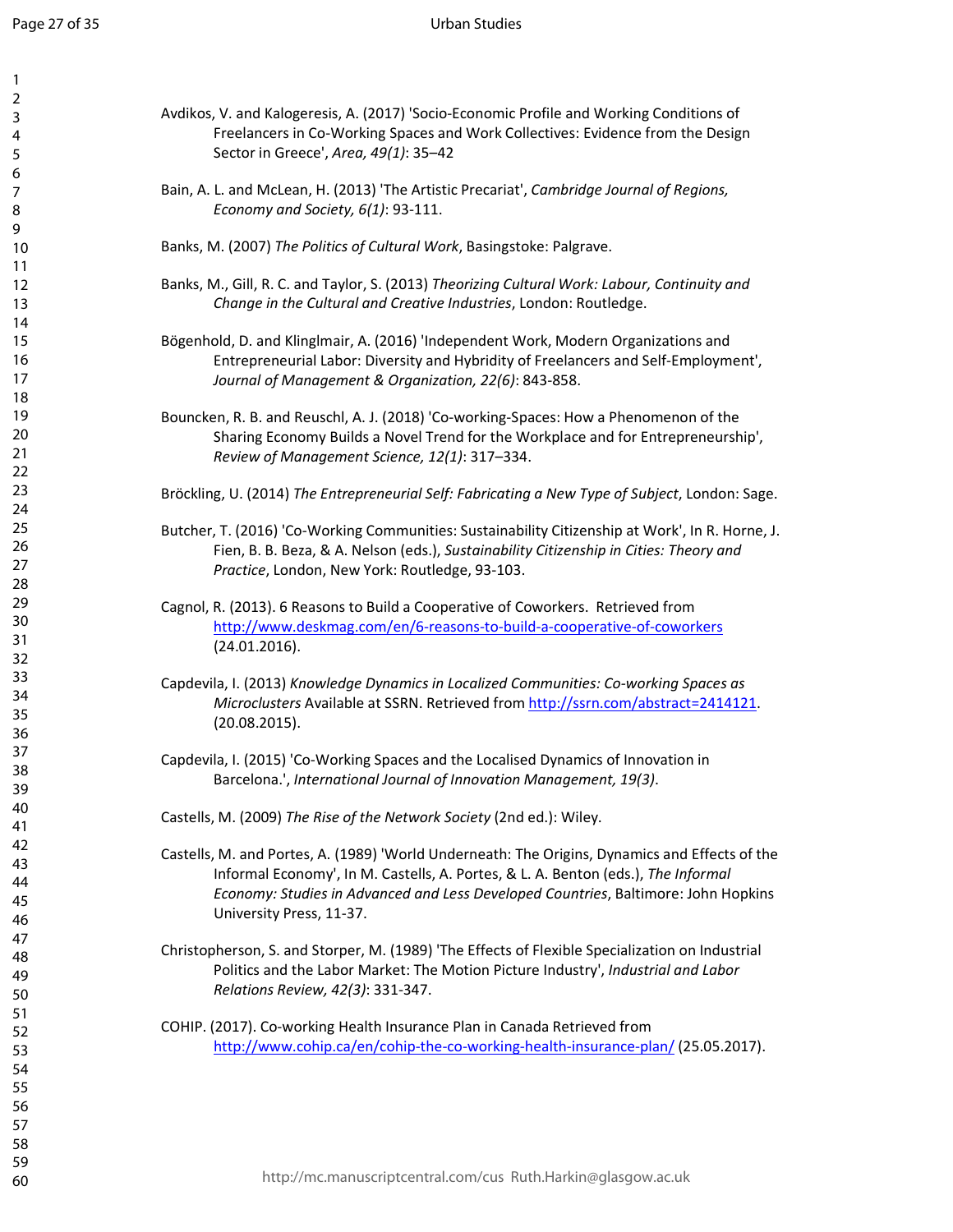| $\overline{2}$ |                                                                                                  |
|----------------|--------------------------------------------------------------------------------------------------|
| 3              | Avdikos, V. and Kalogeresis, A. (2017) 'Socio-Economic Profile and Working Conditions of         |
| 4              | Freelancers in Co-Working Spaces and Work Collectives: Evidence from the Design                  |
| 5              | Sector in Greece', Area, 49(1): 35-42                                                            |
| 6              |                                                                                                  |
| 7              | Bain, A. L. and McLean, H. (2013) 'The Artistic Precariat', Cambridge Journal of Regions,        |
| 8              | Economy and Society, 6(1): 93-111.                                                               |
| 9              |                                                                                                  |
| 10             | Banks, M. (2007) The Politics of Cultural Work, Basingstoke: Palgrave.                           |
| 11             |                                                                                                  |
| 12             | Banks, M., Gill, R. C. and Taylor, S. (2013) Theorizing Cultural Work: Labour, Continuity and    |
|                | Change in the Cultural and Creative Industries, London: Routledge.                               |
| 13             |                                                                                                  |
| 14             |                                                                                                  |
| 15             | Bögenhold, D. and Klinglmair, A. (2016) 'Independent Work, Modern Organizations and              |
| 16             | Entrepreneurial Labor: Diversity and Hybridity of Freelancers and Self-Employment',              |
| 17             | Journal of Management & Organization, 22(6): 843-858.                                            |
| 18             |                                                                                                  |
| 19             | Bouncken, R. B. and Reuschl, A. J. (2018) 'Co-working-Spaces: How a Phenomenon of the            |
| 20             | Sharing Economy Builds a Novel Trend for the Workplace and for Entrepreneurship',                |
| 21             | Review of Management Science, 12(1): 317-334.                                                    |
| 22             |                                                                                                  |
| 23             | Bröckling, U. (2014) The Entrepreneurial Self: Fabricating a New Type of Subject, London: Sage.  |
| 24             |                                                                                                  |
| 25             | Butcher, T. (2016) 'Co-Working Communities: Sustainability Citizenship at Work', In R. Horne, J. |
| 26             |                                                                                                  |
| 27             | Fien, B. B. Beza, & A. Nelson (eds.), Sustainability Citizenship in Cities: Theory and           |
|                | Practice, London, New York: Routledge, 93-103.                                                   |
| 28             |                                                                                                  |
| 29             | Cagnol, R. (2013). 6 Reasons to Build a Cooperative of Coworkers. Retrieved from                 |
| 30             | http://www.deskmag.com/en/6-reasons-to-build-a-cooperative-of-coworkers                          |
| 31             | (24.01.2016).                                                                                    |
| 32             |                                                                                                  |
| 33             | Capdevila, I. (2013) Knowledge Dynamics in Localized Communities: Co-working Spaces as           |
| 34             | Microclusters Available at SSRN. Retrieved from http://ssrn.com/abstract=2414121.                |
| 35             | (20.08.2015).                                                                                    |
| 36             |                                                                                                  |
| 37             |                                                                                                  |
| 38             | Capdevila, I. (2015) 'Co-Working Spaces and the Localised Dynamics of Innovation in              |
| 39             | Barcelona.', International Journal of Innovation Management, 19(3).                              |
| 40             |                                                                                                  |
| 41             | Castells, M. (2009) The Rise of the Network Society (2nd ed.): Wiley.                            |
| 42             |                                                                                                  |
| 43             | Castells, M. and Portes, A. (1989) 'World Underneath: The Origins, Dynamics and Effects of the   |
| 44             | Informal Economy', In M. Castells, A. Portes, & L. A. Benton (eds.), The Informal                |
| 45             | Economy: Studies in Advanced and Less Developed Countries, Baltimore: John Hopkins               |
|                | University Press, 11-37.                                                                         |
| 46             |                                                                                                  |
| 47             | Christopherson, S. and Storper, M. (1989) 'The Effects of Flexible Specialization on Industrial  |
| 48             | Politics and the Labor Market: The Motion Picture Industry', Industrial and Labor                |
| 49             |                                                                                                  |
| 50             | Relations Review, 42(3): 331-347.                                                                |
| 51             |                                                                                                  |
| 52             | COHIP. (2017). Co-working Health Insurance Plan in Canada Retrieved from                         |
| 53             | http://www.cohip.ca/en/cohip-the-co-working-health-insurance-plan/ (25.05.2017).                 |
| 54             |                                                                                                  |
| 55             |                                                                                                  |
| 56             |                                                                                                  |
| 57             |                                                                                                  |
| 58             |                                                                                                  |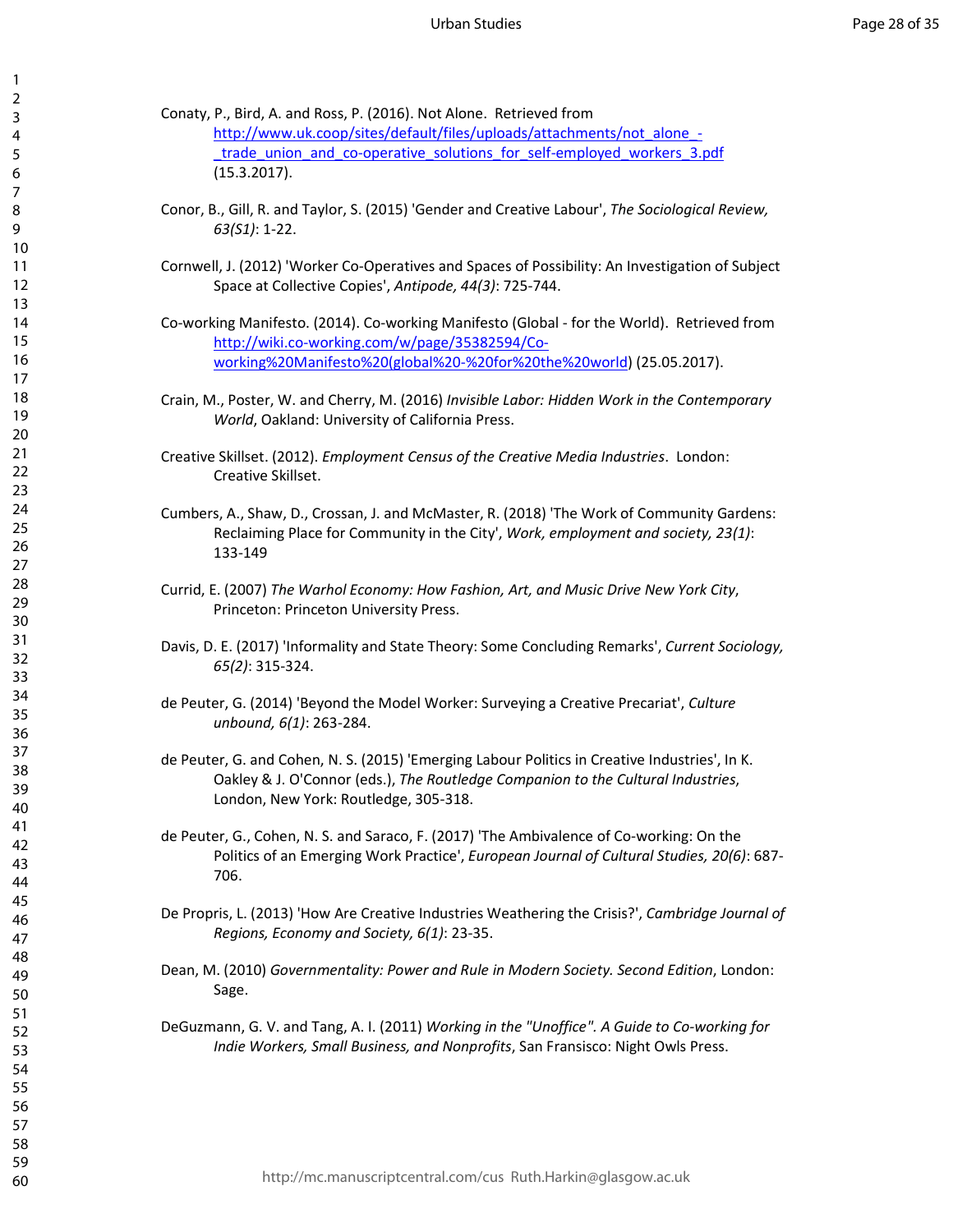| 3<br>4                                              |  |
|-----------------------------------------------------|--|
| 6<br>7                                              |  |
| 8<br>9<br>10                                        |  |
|                                                     |  |
|                                                     |  |
| 11 12 13 14 15 16 17                                |  |
| 18<br>19<br>20                                      |  |
| $\overline{21}$<br>$\overline{2}$                   |  |
| 23<br>24<br>$\overline{c}$                          |  |
| 5<br>$\frac{26}{1}$<br>27                           |  |
| 28<br>29<br>30                                      |  |
| $\overline{31}$<br>32                               |  |
| $\overline{\mathbf{3}}$<br>3<br>$\frac{34}{5}$<br>3 |  |
| 5<br>36<br>37                                       |  |
| 38<br>39<br>ŀО                                      |  |
| 41<br>42                                            |  |
| 43<br>44<br>45                                      |  |
| 46<br>4.                                            |  |
| 48<br>49<br>50                                      |  |
| 51<br>52                                            |  |
| 53<br>54                                            |  |
| 55<br>56<br>5                                       |  |
| 58<br>59                                            |  |

1  $\mathfrak{p}$ 

- Conaty, P., Bird, A. and Ross, P. (2016). Not Alone. Retrieved from http://www.uk.coop/sites/default/files/uploads/attachments/not\_alone\_trade\_union\_and\_co-operative\_solutions\_for\_self-employed\_workers\_3.pdf (15.3.2017).
- Conor, B., Gill, R. and Taylor, S. (2015) 'Gender and Creative Labour', *The Sociological Review, 63(S1)*: 1-22.
- Cornwell, J. (2012) 'Worker Co-Operatives and Spaces of Possibility: An Investigation of Subject Space at Collective Copies', *Antipode, 44(3)*: 725-744.
- Co-working Manifesto. (2014). Co-working Manifesto (Global for the World). Retrieved from http://wiki.co-working.com/w/page/35382594/Coworking%20Manifesto%20(global%20-%20for%20the%20world) (25.05.2017).
- Crain, M., Poster, W. and Cherry, M. (2016) *Invisible Labor: Hidden Work in the Contemporary World*, Oakland: University of California Press.
- Creative Skillset. (2012). *Employment Census of the Creative Media Industries*. London: Creative Skillset.
- Cumbers, A., Shaw, D., Crossan, J. and McMaster, R. (2018) 'The Work of Community Gardens: Reclaiming Place for Community in the City', *Work, employment and society, 23(1)*: 133-149
- Currid, E. (2007) *The Warhol Economy: How Fashion, Art, and Music Drive New York City*, Princeton: Princeton University Press.
- Davis, D. E. (2017) 'Informality and State Theory: Some Concluding Remarks', *Current Sociology, 65(2)*: 315-324.
- de Peuter, G. (2014) 'Beyond the Model Worker: Surveying a Creative Precariat', *Culture unbound, 6(1)*: 263-284.
- de Peuter, G. and Cohen, N. S. (2015) 'Emerging Labour Politics in Creative Industries', In K. Oakley & J. O'Connor (eds.), *The Routledge Companion to the Cultural Industries*, London, New York: Routledge, 305-318.
- de Peuter, G., Cohen, N. S. and Saraco, F. (2017) 'The Ambivalence of Co-working: On the Politics of an Emerging Work Practice', *European Journal of Cultural Studies, 20(6)*: 687- 706.
- De Propris, L. (2013) 'How Are Creative Industries Weathering the Crisis?', *Cambridge Journal of Regions, Economy and Society, 6(1)*: 23-35.
- Dean, M. (2010) *Governmentality: Power and Rule in Modern Society. Second Edition*, London: Sage.
- DeGuzmann, G. V. and Tang, A. I. (2011) *Working in the "Unoffice". A Guide to Co-working for Indie Workers, Small Business, and Nonprofits*, San Fransisco: Night Owls Press.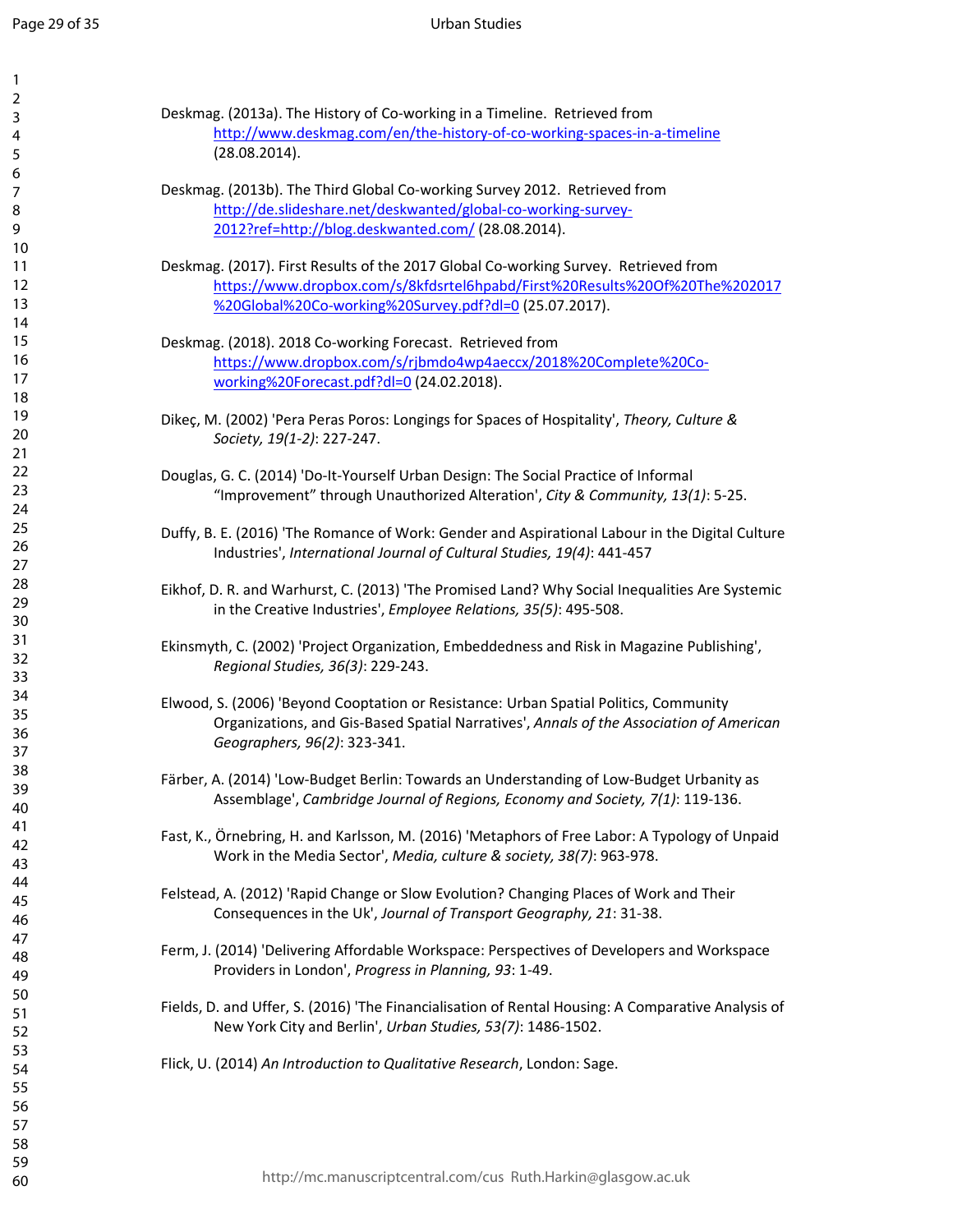| Deskmag. (2013a). The History of Co-working in a Timeline. Retrieved from<br>http://www.deskmag.com/en/the-history-of-co-working-spaces-in-a-timeline<br>(28.08.2014).                                                       |
|------------------------------------------------------------------------------------------------------------------------------------------------------------------------------------------------------------------------------|
| Deskmag. (2013b). The Third Global Co-working Survey 2012. Retrieved from<br>http://de.slideshare.net/deskwanted/global-co-working-survey-<br>2012?ref=http://blog.deskwanted.com/ (28.08.2014).                             |
| Deskmag. (2017). First Results of the 2017 Global Co-working Survey. Retrieved from<br>https://www.dropbox.com/s/8kfdsrtel6hpabd/First%20Results%20Of%20The%202017<br>%20Global%20Co-working%20Survey.pdf?dl=0 (25.07.2017). |
| Deskmag. (2018). 2018 Co-working Forecast. Retrieved from<br>https://www.dropbox.com/s/rjbmdo4wp4aeccx/2018%20Complete%20Co-<br>working%20Forecast.pdf?dl=0 (24.02.2018).                                                    |
| Dikeç, M. (2002) 'Pera Peras Poros: Longings for Spaces of Hospitality', Theory, Culture &<br>Society, 19(1-2): 227-247.                                                                                                     |
| Douglas, G. C. (2014) 'Do-It-Yourself Urban Design: The Social Practice of Informal<br>"Improvement" through Unauthorized Alteration', City & Community, 13(1): 5-25.                                                        |
| Duffy, B. E. (2016) 'The Romance of Work: Gender and Aspirational Labour in the Digital Culture<br>Industries', International Journal of Cultural Studies, 19(4): 441-457                                                    |
| Eikhof, D. R. and Warhurst, C. (2013) 'The Promised Land? Why Social Inequalities Are Systemic<br>in the Creative Industries', Employee Relations, 35(5): 495-508.                                                           |
| Ekinsmyth, C. (2002) 'Project Organization, Embeddedness and Risk in Magazine Publishing',<br>Regional Studies, 36(3): 229-243.                                                                                              |
| Elwood, S. (2006) 'Beyond Cooptation or Resistance: Urban Spatial Politics, Community<br>Organizations, and Gis-Based Spatial Narratives', Annals of the Association of American<br>Geographers, 96(2): 323-341.             |
| Färber, A. (2014) 'Low-Budget Berlin: Towards an Understanding of Low-Budget Urbanity as<br>Assemblage', Cambridge Journal of Regions, Economy and Society, 7(1): 119-136.                                                   |
| Fast, K., Örnebring, H. and Karlsson, M. (2016) 'Metaphors of Free Labor: A Typology of Unpaid<br>Work in the Media Sector', Media, culture & society, 38(7): 963-978.                                                       |
| Felstead, A. (2012) 'Rapid Change or Slow Evolution? Changing Places of Work and Their<br>Consequences in the Uk', Journal of Transport Geography, 21: 31-38.                                                                |
| Ferm, J. (2014) 'Delivering Affordable Workspace: Perspectives of Developers and Workspace<br>Providers in London', Progress in Planning, 93: 1-49.                                                                          |
| Fields, D. and Uffer, S. (2016) 'The Financialisation of Rental Housing: A Comparative Analysis of<br>New York City and Berlin', Urban Studies, 53(7): 1486-1502.                                                            |
| Flick, U. (2014) An Introduction to Qualitative Research, London: Sage.                                                                                                                                                      |
|                                                                                                                                                                                                                              |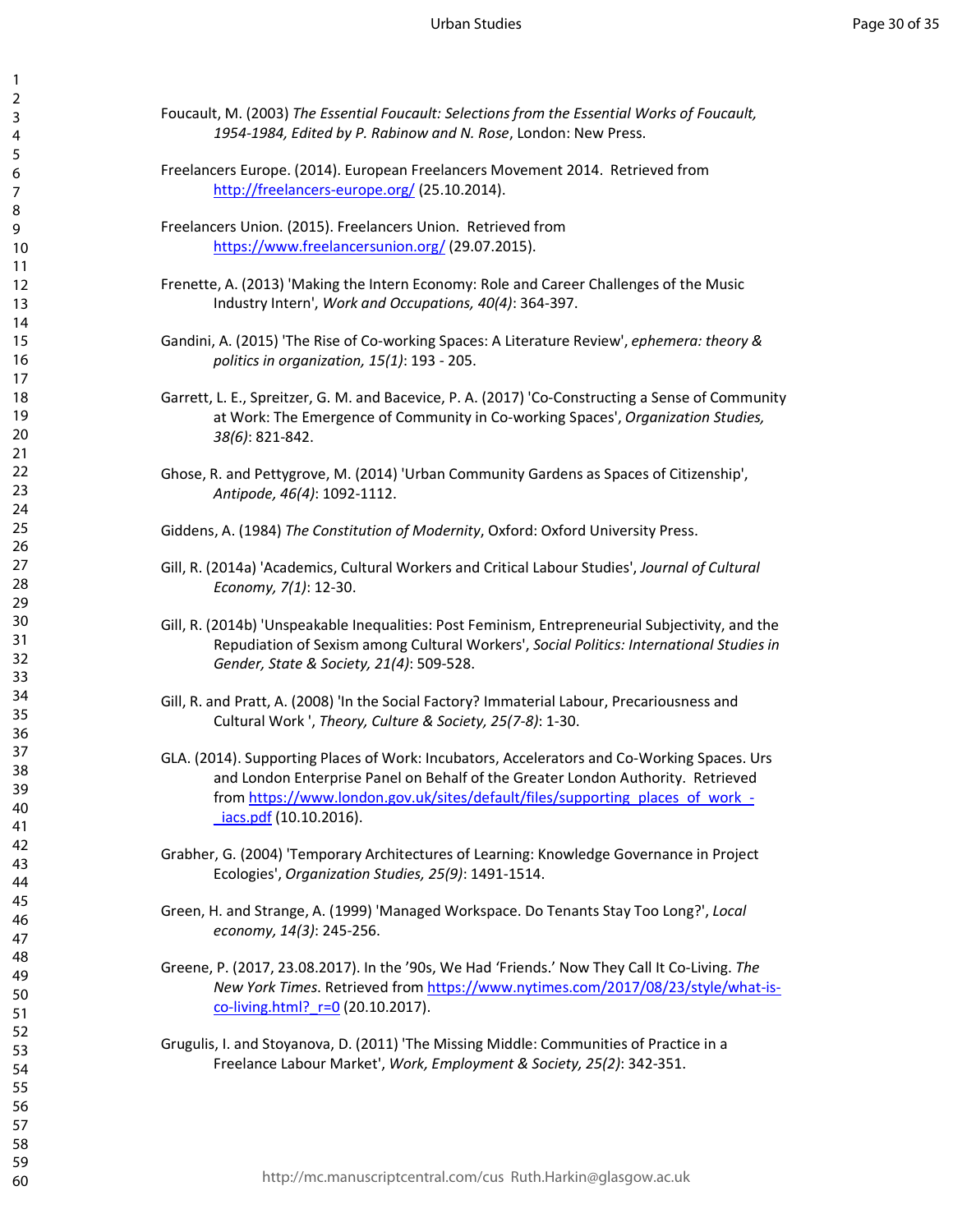- Foucault, M. (2003) *The Essential Foucault: Selections from the Essential Works of Foucault, 1954-1984, Edited by P. Rabinow and N. Rose*, London: New Press.
- Freelancers Europe. (2014). European Freelancers Movement 2014. Retrieved from http://freelancers-europe.org/ (25.10.2014).
- Freelancers Union. (2015). Freelancers Union. Retrieved from https://www.freelancersunion.org/ (29.07.2015).
- Frenette, A. (2013) 'Making the Intern Economy: Role and Career Challenges of the Music Industry Intern', *Work and Occupations, 40(4)*: 364-397.
- Gandini, A. (2015) 'The Rise of Co-working Spaces: A Literature Review', *ephemera: theory & politics in organization, 15(1)*: 193 - 205.
- Garrett, L. E., Spreitzer, G. M. and Bacevice, P. A. (2017) 'Co-Constructing a Sense of Community at Work: The Emergence of Community in Co-working Spaces', *Organization Studies, 38(6)*: 821-842.
- Ghose, R. and Pettygrove, M. (2014) 'Urban Community Gardens as Spaces of Citizenship', *Antipode, 46(4)*: 1092-1112.
- Giddens, A. (1984) *The Constitution of Modernity*, Oxford: Oxford University Press.
- Gill, R. (2014a) 'Academics, Cultural Workers and Critical Labour Studies', *Journal of Cultural Economy, 7(1)*: 12-30.
- Gill, R. (2014b) 'Unspeakable Inequalities: Post Feminism, Entrepreneurial Subjectivity, and the Repudiation of Sexism among Cultural Workers', *Social Politics: International Studies in Gender, State & Society, 21(4)*: 509-528.
- Gill, R. and Pratt, A. (2008) 'In the Social Factory? Immaterial Labour, Precariousness and Cultural Work ', *Theory, Culture & Society, 25(7-8)*: 1-30.
- GLA. (2014). Supporting Places of Work: Incubators, Accelerators and Co-Working Spaces. Urs and London Enterprise Panel on Behalf of the Greater London Authority. Retrieved from https://www.london.gov.uk/sites/default/files/supporting\_places\_of\_work\_- \_iacs.pdf (10.10.2016).
- Grabher, G. (2004) 'Temporary Architectures of Learning: Knowledge Governance in Project Ecologies', *Organization Studies, 25(9)*: 1491-1514.
- Green, H. and Strange, A. (1999) 'Managed Workspace. Do Tenants Stay Too Long?', *Local economy, 14(3)*: 245-256.
- Greene, P. (2017, 23.08.2017). In the '90s, We Had 'Friends.' Now They Call It Co-Living. *The New York Times*. Retrieved from https://www.nytimes.com/2017/08/23/style/what-isco-living.html?  $r=0$  (20.10.2017).
- Grugulis, I. and Stoyanova, D. (2011) 'The Missing Middle: Communities of Practice in a Freelance Labour Market', *Work, Employment & Society, 25(2)*: 342-351.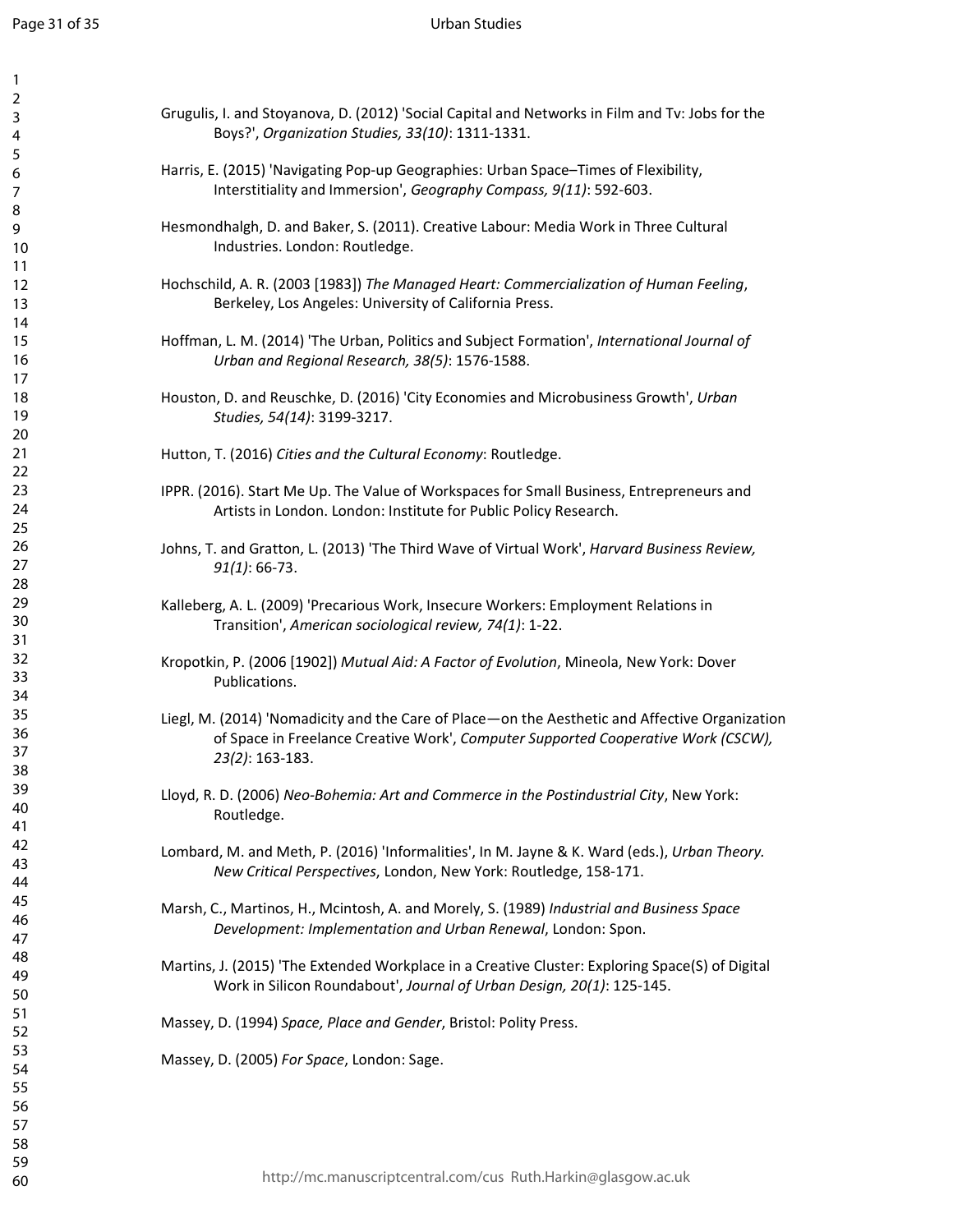| Grugulis, I. and                       |
|----------------------------------------|
| Boys?'                                 |
| Harris, E. (201<br>Interst             |
| Hesmondhalgh<br>Indust                 |
| Hochschild, A.<br><b>Berkel</b>        |
| Hoffman, L. M<br>Urban                 |
| Houston, D. ar<br><b>Studie</b>        |
| Hutton, T. (20:                        |
| IPPR. (2016). S<br>Artists             |
| Johns, T. and C<br>$91(1)$ :           |
| Kalleberg, A. L<br>Transi              |
| Kropotkin, P. (<br>Public              |
| Liegl, M. (2014<br>of Spa<br>$23(2)$ : |
| Lloyd, R. D. (20<br>Routle             |
| Lombard, M. a<br>New C                 |
| Marsh, C., Mar<br>Develo               |
| Martins, J. (20<br>Work                |
| Massey, D. (19                         |
| Massey, D. (20                         |
|                                        |
|                                        |
|                                        |
|                                        |
|                                        |

|                                                  | Grugulis, I. and Stoyanova, D. (2012) 'Social Capital and Networks in Film and Tv: Jobs for the |
|--------------------------------------------------|-------------------------------------------------------------------------------------------------|
| Boys?', Organization Studies, 33(10): 1311-1331. |                                                                                                 |

- 5) 'Navigating Pop-up Geographies: Urban Space–Times of Flexibility, titiality and Immersion', *Geography Compass, 9(11)*: 592-603.
- h, D. and Baker, S. (2011). Creative Labour: Media Work in Three Cultural tries. London: Routledge.
- R. (2003 [1983]) *The Managed Heart: Commercialization of Human Feeling*, ley, Los Angeles: University of California Press.
- H. (2014) 'The Urban, Politics and Subject Formation', *International Journal of Urban and Regional Research, 38(5)*: 1576-1588.
- houston, D. (2016) 'City Economies and Microbusiness Growth', Urban *Studies, 54(14)*: 3199-3217.
- 16) Cities and the Cultural Economy: Routledge.
- Itart Me Up. The Value of Workspaces for Small Business, Entrepreneurs and s in London. London: Institute for Public Policy Research.
- Gratton, L. (2013) 'The Third Wave of Virtual Work', *Harvard Business Review, 91(1)*: 66-73.
- . (2009) 'Precarious Work, Insecure Workers: Employment Relations in tion', *American sociological review, 74(1)*: 1-22.
- 2006 [1902]) *Mutual Aid: A Factor of Evolution*, Mineola, New York: Dover ations.
- 4) 'Nomadicity and the Care of Place—on the Aesthetic and Affective Organization ce in Freelance Creative Work', *Computer Supported Cooperative Work (CSCW), 23(2)*: 163-183.
- 006) Neo-Bohemia: Art and Commerce in the Postindustrial City, New York: edge.
- and Meth, P. (2016) 'Informalities', In M. Jayne & K. Ward (eds.), *Urban Theory. New Critical Perspectives*, London, New York: Routledge, 158-171.
- rtinos, H., Mcintosh, A. and Morely, S. (1989) *Industrial and Business Space Development: Implementation and Urban Renewal*, London: Spon.
- 15) 'The Extended Workplace in a Creative Cluster: Exploring Space(S) of Digital in Silicon Roundabout', *Journal of Urban Design, 20(1)*: 125-145.
- 194) *Space, Place and Gender*, Bristol: Polity Press.
- 005) For Space, London: Sage.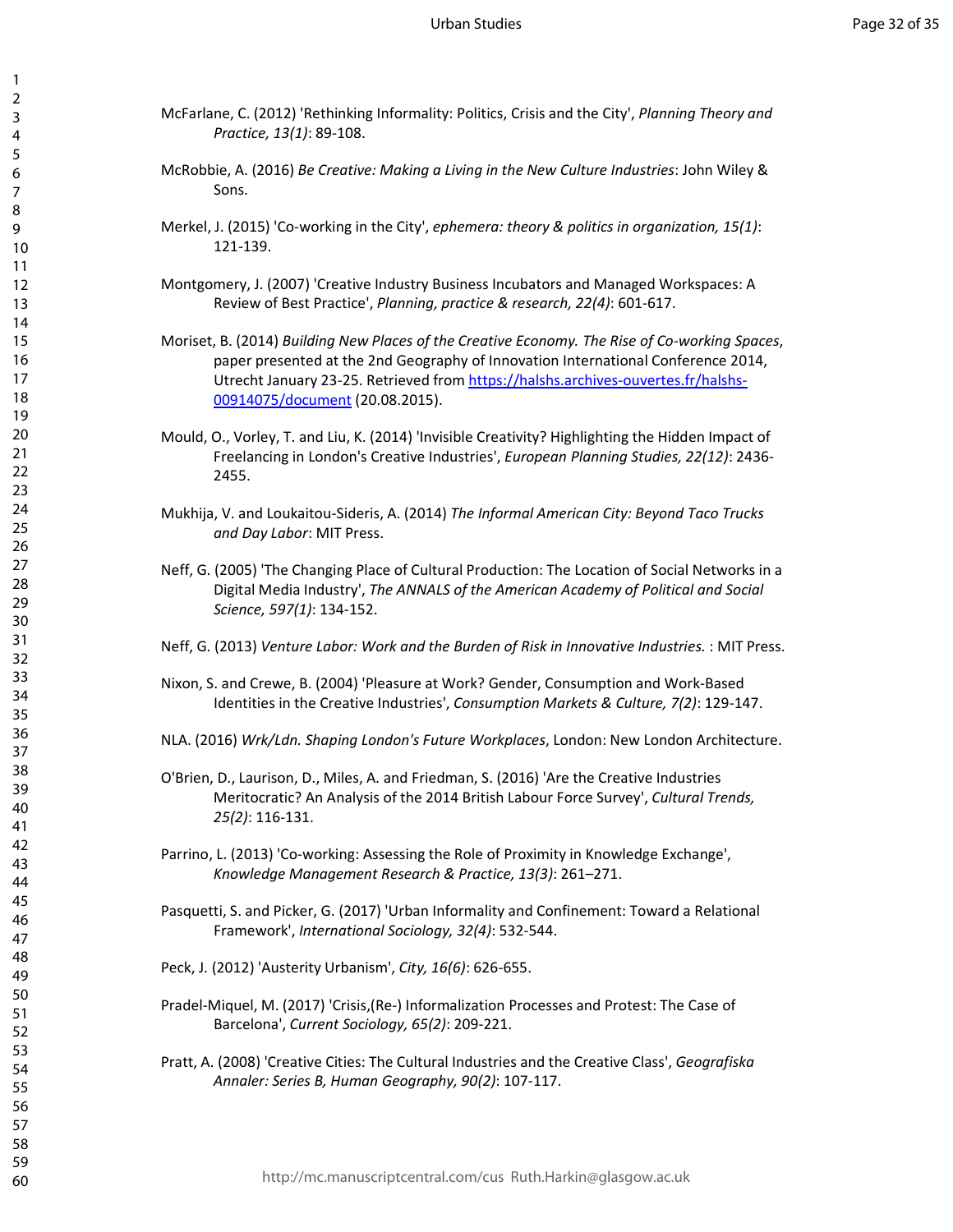- McFarlane, C. (2012) 'Rethinking Informality: Politics, Crisis and the City', *Planning Theory and Practice, 13(1)*: 89-108.
- McRobbie, A. (2016) *Be Creative: Making a Living in the New Culture Industries*: John Wiley & Sons.
- Merkel, J. (2015) 'Co-working in the City', *ephemera: theory & politics in organization, 15(1)*: 121-139.
- Montgomery, J. (2007) 'Creative Industry Business Incubators and Managed Workspaces: A Review of Best Practice', *Planning, practice & research, 22(4)*: 601-617.
- Moriset, B. (2014) *Building New Places of the Creative Economy. The Rise of Co-working Spaces*, paper presented at the 2nd Geography of Innovation International Conference 2014, Utrecht January 23-25. Retrieved from https://halshs.archives-ouvertes.fr/halshs-00914075/document (20.08.2015).
- Mould, O., Vorley, T. and Liu, K. (2014) 'Invisible Creativity? Highlighting the Hidden Impact of Freelancing in London's Creative Industries', *European Planning Studies, 22(12)*: 2436- 2455.
- Mukhija, V. and Loukaitou-Sideris, A. (2014) *The Informal American City: Beyond Taco Trucks and Day Labor*: MIT Press.
- Neff, G. (2005) 'The Changing Place of Cultural Production: The Location of Social Networks in a Digital Media Industry', *The ANNALS of the American Academy of Political and Social Science, 597(1)*: 134-152.
- Neff, G. (2013) *Venture Labor: Work and the Burden of Risk in Innovative Industries.* : MIT Press.
- Nixon, S. and Crewe, B. (2004) 'Pleasure at Work? Gender, Consumption and Work-Based Identities in the Creative Industries', *Consumption Markets & Culture, 7(2)*: 129-147.
- NLA. (2016) *Wrk/Ldn. Shaping London's Future Workplaces*, London: New London Architecture.
- O'Brien, D., Laurison, D., Miles, A. and Friedman, S. (2016) 'Are the Creative Industries Meritocratic? An Analysis of the 2014 British Labour Force Survey', *Cultural Trends, 25(2)*: 116-131.
- Parrino, L. (2013) 'Co-working: Assessing the Role of Proximity in Knowledge Exchange', *Knowledge Management Research & Practice, 13(3)*: 261–271.
- Pasquetti, S. and Picker, G. (2017) 'Urban Informality and Confinement: Toward a Relational Framework', *International Sociology, 32(4)*: 532-544.
- Peck, J. (2012) 'Austerity Urbanism', *City, 16(6)*: 626-655.
- Pradel-Miquel, M. (2017) 'Crisis,(Re-) Informalization Processes and Protest: The Case of Barcelona', *Current Sociology, 65(2)*: 209-221.
- Pratt, A. (2008) 'Creative Cities: The Cultural Industries and the Creative Class', *Geografiska Annaler: Series B, Human Geography, 90(2)*: 107-117.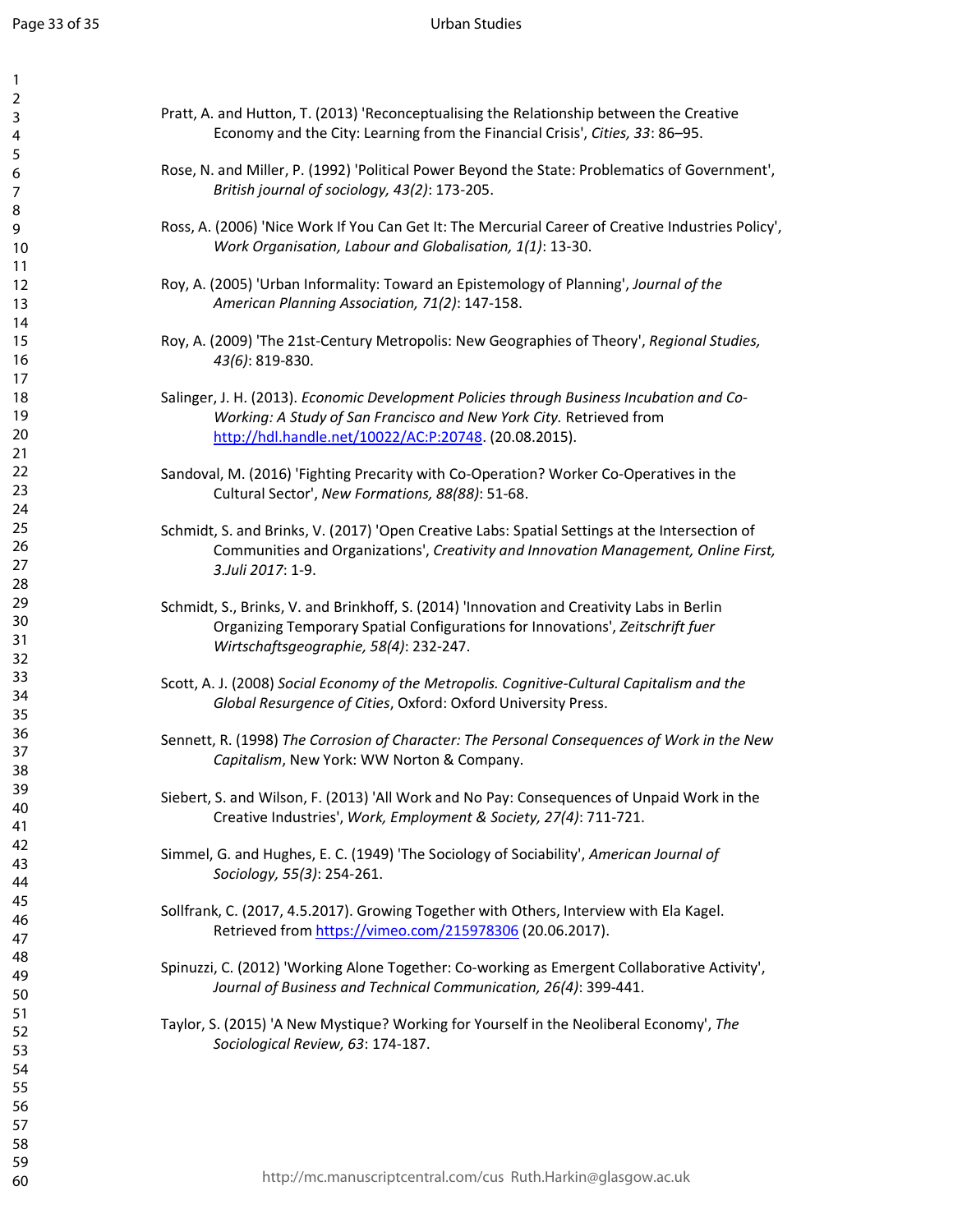| $\overline{\mathbf{c}}$ |  |
|-------------------------|--|
| 3<br>4                  |  |
|                         |  |
| 567                     |  |
| 8                       |  |
| 9                       |  |
| 10                      |  |
| 11<br>$\overline{12}$   |  |
| 13                      |  |
| $\overline{14}$         |  |
| 15<br>16                |  |
| 17                      |  |
| 18                      |  |
| 19<br>20                |  |
| $\frac{21}{1}$          |  |
| -<br>22<br>23           |  |
|                         |  |
| 24<br>25                |  |
| 26                      |  |
| 27<br>28                |  |
| 29                      |  |
| 30                      |  |
| 31<br>32                |  |
| 33                      |  |
| 34                      |  |
| 35<br>36                |  |
| 37                      |  |
| 38                      |  |
| 39<br>40                |  |
| 41                      |  |
| 42                      |  |
| 43<br>44                |  |
| 45                      |  |
| 46                      |  |
| 47<br>48                |  |
| 49                      |  |
| 50                      |  |
| 51<br>52                |  |
| 53                      |  |
| 54                      |  |
| 55<br>56                |  |
| 57                      |  |
| 58                      |  |
| 59<br>60                |  |

| Pratt, A. and Hutton, T. (2013) 'Reconceptualising the Relationship between the Creative |
|------------------------------------------------------------------------------------------|
| Economy and the City: Learning from the Financial Crisis', Cities, 33: 86–95.            |

- Rose, N. and Miller, P. (1992) 'Political Power Beyond the State: Problematics of Government', *British journal of sociology, 43(2)*: 173-205.
- Ross, A. (2006) 'Nice Work If You Can Get It: The Mercurial Career of Creative Industries Policy', *Work Organisation, Labour and Globalisation, 1(1)*: 13-30.
- Roy, A. (2005) 'Urban Informality: Toward an Epistemology of Planning', *Journal of the American Planning Association, 71(2)*: 147-158.
- Roy, A. (2009) 'The 21st-Century Metropolis: New Geographies of Theory', *Regional Studies, 43(6)*: 819-830.
- Salinger, J. H. (2013). *Economic Development Policies through Business Incubation and Co-Working: A Study of San Francisco and New York City.* Retrieved from http://hdl.handle.net/10022/AC:P:20748. (20.08.2015).
- Sandoval, M. (2016) 'Fighting Precarity with Co-Operation? Worker Co-Operatives in the Cultural Sector', *New Formations, 88(88)*: 51-68.
- Schmidt, S. and Brinks, V. (2017) 'Open Creative Labs: Spatial Settings at the Intersection of Communities and Organizations', *Creativity and Innovation Management, Online First, 3.Juli 2017*: 1-9.
- Schmidt, S., Brinks, V. and Brinkhoff, S. (2014) 'Innovation and Creativity Labs in Berlin Organizing Temporary Spatial Configurations for Innovations', *Zeitschrift fuer Wirtschaftsgeographie, 58(4)*: 232-247.
- Scott, A. J. (2008) *Social Economy of the Metropolis. Cognitive-Cultural Capitalism and the Global Resurgence of Cities*, Oxford: Oxford University Press.
- Sennett, R. (1998) *The Corrosion of Character: The Personal Consequences of Work in the New Capitalism*, New York: WW Norton & Company.
- Siebert, S. and Wilson, F. (2013) 'All Work and No Pay: Consequences of Unpaid Work in the Creative Industries', *Work, Employment & Society, 27(4)*: 711-721.
- Simmel, G. and Hughes, E. C. (1949) 'The Sociology of Sociability', *American Journal of Sociology, 55(3)*: 254-261.
- Sollfrank, C. (2017, 4.5.2017). Growing Together with Others, Interview with Ela Kagel. Retrieved from https://vimeo.com/215978306 (20.06.2017).
- Spinuzzi, C. (2012) 'Working Alone Together: Co-working as Emergent Collaborative Activity', *Journal of Business and Technical Communication, 26(4)*: 399-441.
- Taylor, S. (2015) 'A New Mystique? Working for Yourself in the Neoliberal Economy', *The Sociological Review, 63*: 174-187.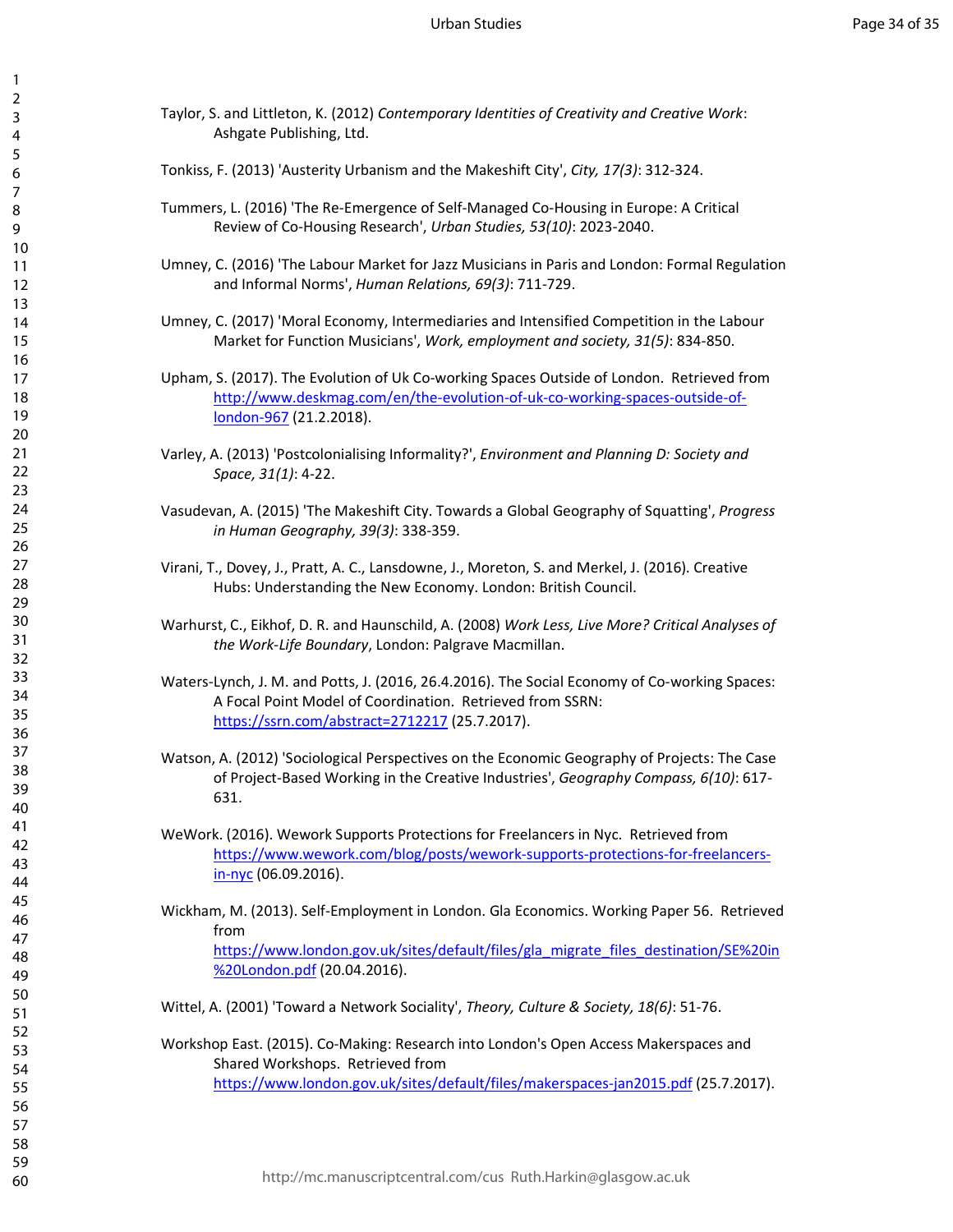| Taylor, S. and Littleton, K. (2012) Contemporary Identities of Creativity and Creative Work:<br>Ashgate Publishing, Ltd.                                                                                     |
|--------------------------------------------------------------------------------------------------------------------------------------------------------------------------------------------------------------|
| Tonkiss, F. (2013) 'Austerity Urbanism and the Makeshift City', City, 17(3): 312-324.                                                                                                                        |
| Tummers, L. (2016) 'The Re-Emergence of Self-Managed Co-Housing in Europe: A Critical<br>Review of Co-Housing Research', Urban Studies, 53(10): 2023-2040.                                                   |
| Umney, C. (2016) 'The Labour Market for Jazz Musicians in Paris and London: Formal Regulation<br>and Informal Norms', Human Relations, 69(3): 711-729.                                                       |
| Umney, C. (2017) 'Moral Economy, Intermediaries and Intensified Competition in the Labour<br>Market for Function Musicians', Work, employment and society, 31(5): 834-850.                                   |
| Upham, S. (2017). The Evolution of Uk Co-working Spaces Outside of London. Retrieved from<br>http://www.deskmag.com/en/the-evolution-of-uk-co-working-spaces-outside-of-<br>london-967 (21.2.2018).          |
| Varley, A. (2013) 'Postcolonialising Informality?', Environment and Planning D: Society and<br>Space, 31(1): 4-22.                                                                                           |
| Vasudevan, A. (2015) 'The Makeshift City. Towards a Global Geography of Squatting', Progress<br>in Human Geography, 39(3): 338-359.                                                                          |
| Virani, T., Dovey, J., Pratt, A. C., Lansdowne, J., Moreton, S. and Merkel, J. (2016). Creative<br>Hubs: Understanding the New Economy. London: British Council.                                             |
| Warhurst, C., Eikhof, D. R. and Haunschild, A. (2008) Work Less, Live More? Critical Analyses of<br>the Work-Life Boundary, London: Palgrave Macmillan.                                                      |
| Waters-Lynch, J. M. and Potts, J. (2016, 26.4.2016). The Social Economy of Co-working Spaces:<br>A Focal Point Model of Coordination. Retrieved from SSRN:<br>https://ssrn.com/abstract=2712217 (25.7.2017). |
| Watson, A. (2012) 'Sociological Perspectives on the Economic Geography of Projects: The Case<br>of Project-Based Working in the Creative Industries', Geography Compass, 6(10): 617-<br>631.                 |
| WeWork. (2016). Wework Supports Protections for Freelancers in Nyc. Retrieved from<br>https://www.wework.com/blog/posts/wework-supports-protections-for-freelancers-<br>in-nyc (06.09.2016).                 |
| Wickham, M. (2013). Self-Employment in London. Gla Economics. Working Paper 56. Retrieved<br>from                                                                                                            |
| https://www.london.gov.uk/sites/default/files/gla migrate files destination/SE%20in<br>%20London.pdf (20.04.2016).                                                                                           |
| Wittel, A. (2001) 'Toward a Network Sociality', Theory, Culture & Society, 18(6): 51-76.                                                                                                                     |
| Workshop East. (2015). Co-Making: Research into London's Open Access Makerspaces and                                                                                                                         |
| Shared Workshops. Retrieved from<br>https://www.london.gov.uk/sites/default/files/makerspaces-jan2015.pdf (25.7.2017).                                                                                       |